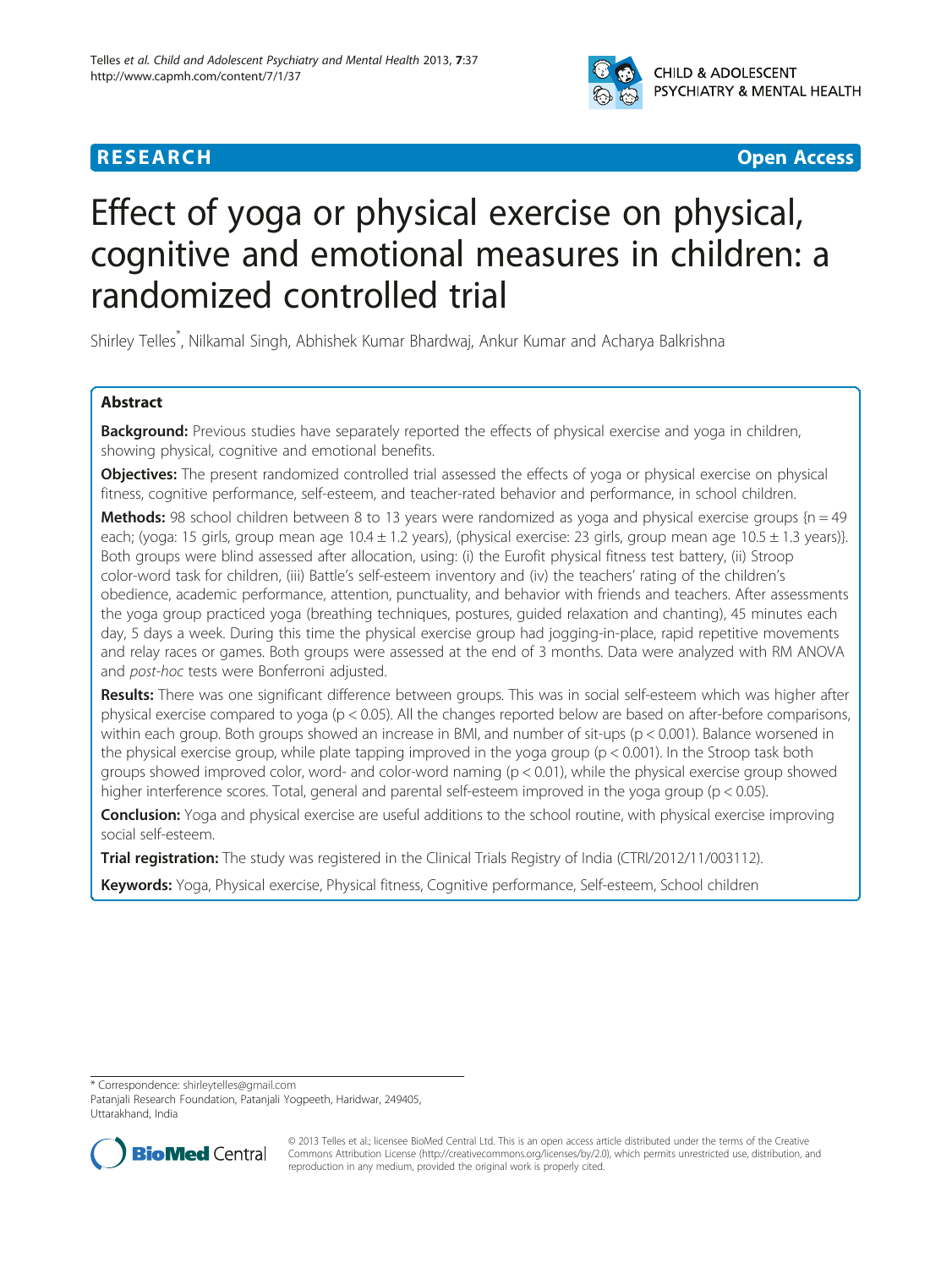

**RESEARCH CHEAR CHEAR CHEAR CHEAR CHEAR CHEAR CHEAR CHEAR CHEAR CHEAR CHEAR CHEAR CHEAR CHEAR CHEAR CHEAR CHEAR** 

# Effect of yoga or physical exercise on physical, cognitive and emotional measures in children: a randomized controlled trial

Shirley Telles\* , Nilkamal Singh, Abhishek Kumar Bhardwaj, Ankur Kumar and Acharya Balkrishna

# Abstract

Background: Previous studies have separately reported the effects of physical exercise and yoga in children, showing physical, cognitive and emotional benefits.

Objectives: The present randomized controlled trial assessed the effects of yoga or physical exercise on physical fitness, cognitive performance, self-esteem, and teacher-rated behavior and performance, in school children.

**Methods:** 98 school children between 8 to 13 years were randomized as yoga and physical exercise groups  $\{n = 49\}$ each; (yoga: 15 girls, group mean age 10.4  $\pm$  1.2 years), (physical exercise: 23 girls, group mean age 10.5  $\pm$  1.3 years)}. Both groups were blind assessed after allocation, using: (i) the Eurofit physical fitness test battery, (ii) Stroop color-word task for children, (iii) Battle's self-esteem inventory and (iv) the teachers' rating of the children's obedience, academic performance, attention, punctuality, and behavior with friends and teachers. After assessments the yoga group practiced yoga (breathing techniques, postures, guided relaxation and chanting), 45 minutes each day, 5 days a week. During this time the physical exercise group had jogging-in-place, rapid repetitive movements and relay races or games. Both groups were assessed at the end of 3 months. Data were analyzed with RM ANOVA and post-hoc tests were Bonferroni adjusted.

Results: There was one significant difference between groups. This was in social self-esteem which was higher after physical exercise compared to yoga ( $p < 0.05$ ). All the changes reported below are based on after-before comparisons, within each group. Both groups showed an increase in BMI, and number of sit-ups (p < 0.001). Balance worsened in the physical exercise group, while plate tapping improved in the yoga group (p < 0.001). In the Stroop task both groups showed improved color, word- and color-word naming (p < 0.01), while the physical exercise group showed higher interference scores. Total, general and parental self-esteem improved in the yoga group (p < 0.05).

Conclusion: Yoga and physical exercise are useful additions to the school routine, with physical exercise improving social self-esteem.

**Trial registration:** The study was registered in the Clinical Trials Registry of India ([CTRI/2012/11/003112](http://ctri.nic.in/Clinicaltrials/rmaindet.php?trialid=4627&EncHid=88177.44820&modid=1&compid=19)).

Keywords: Yoga, Physical exercise, Physical fitness, Cognitive performance, Self-esteem, School children

\* Correspondence: [shirleytelles@gmail.com](mailto:shirleytelles@gmail.com)

Patanjali Research Foundation, Patanjali Yogpeeth, Haridwar, 249405, Uttarakhand, India



© 2013 Telles et al.; licensee BioMed Central Ltd. This is an open access article distributed under the terms of the Creative Commons Attribution License [\(http://creativecommons.org/licenses/by/2.0\)](http://creativecommons.org/licenses/by/2.0), which permits unrestricted use, distribution, and reproduction in any medium, provided the original work is properly cited.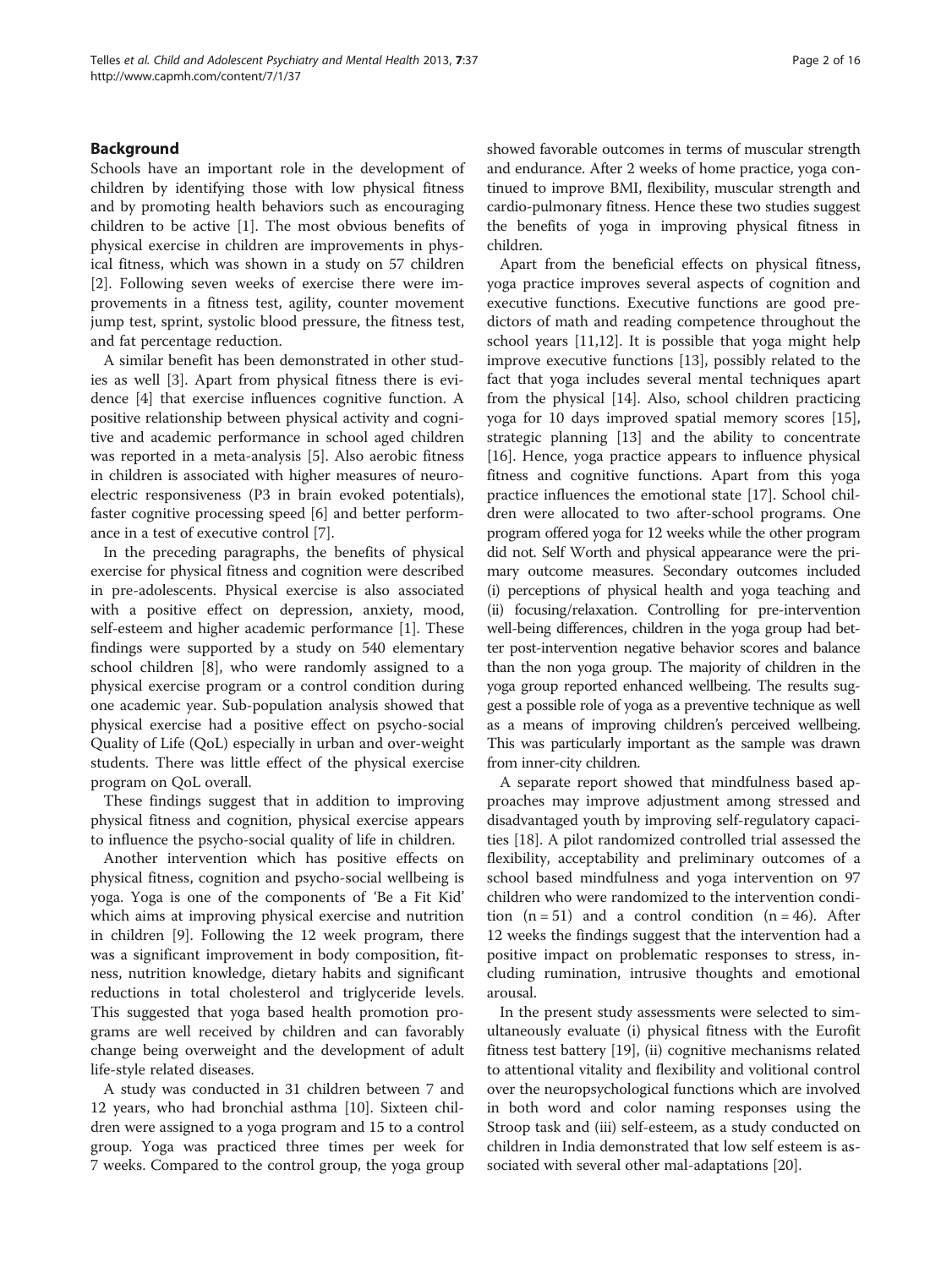#### Background

Schools have an important role in the development of children by identifying those with low physical fitness and by promoting health behaviors such as encouraging children to be active [\[1](#page-14-0)]. The most obvious benefits of physical exercise in children are improvements in physical fitness, which was shown in a study on 57 children [[2\]](#page-14-0). Following seven weeks of exercise there were improvements in a fitness test, agility, counter movement jump test, sprint, systolic blood pressure, the fitness test, and fat percentage reduction.

A similar benefit has been demonstrated in other studies as well [[3](#page-14-0)]. Apart from physical fitness there is evidence [[4\]](#page-14-0) that exercise influences cognitive function. A positive relationship between physical activity and cognitive and academic performance in school aged children was reported in a meta-analysis [\[5](#page-14-0)]. Also aerobic fitness in children is associated with higher measures of neuroelectric responsiveness (P3 in brain evoked potentials), faster cognitive processing speed [\[6](#page-14-0)] and better performance in a test of executive control [\[7](#page-14-0)].

In the preceding paragraphs, the benefits of physical exercise for physical fitness and cognition were described in pre-adolescents. Physical exercise is also associated with a positive effect on depression, anxiety, mood, self-esteem and higher academic performance [[1\]](#page-14-0). These findings were supported by a study on 540 elementary school children [\[8](#page-14-0)], who were randomly assigned to a physical exercise program or a control condition during one academic year. Sub-population analysis showed that physical exercise had a positive effect on psycho-social Quality of Life (QoL) especially in urban and over-weight students. There was little effect of the physical exercise program on QoL overall.

These findings suggest that in addition to improving physical fitness and cognition, physical exercise appears to influence the psycho-social quality of life in children.

Another intervention which has positive effects on physical fitness, cognition and psycho-social wellbeing is yoga. Yoga is one of the components of 'Be a Fit Kid' which aims at improving physical exercise and nutrition in children [[9\]](#page-14-0). Following the 12 week program, there was a significant improvement in body composition, fitness, nutrition knowledge, dietary habits and significant reductions in total cholesterol and triglyceride levels. This suggested that yoga based health promotion programs are well received by children and can favorably change being overweight and the development of adult life-style related diseases.

A study was conducted in 31 children between 7 and 12 years, who had bronchial asthma [[10](#page-14-0)]. Sixteen children were assigned to a yoga program and 15 to a control group. Yoga was practiced three times per week for 7 weeks. Compared to the control group, the yoga group showed favorable outcomes in terms of muscular strength and endurance. After 2 weeks of home practice, yoga continued to improve BMI, flexibility, muscular strength and cardio-pulmonary fitness. Hence these two studies suggest the benefits of yoga in improving physical fitness in children.

Apart from the beneficial effects on physical fitness, yoga practice improves several aspects of cognition and executive functions. Executive functions are good predictors of math and reading competence throughout the school years [[11](#page-14-0),[12](#page-14-0)]. It is possible that yoga might help improve executive functions [\[13\]](#page-14-0), possibly related to the fact that yoga includes several mental techniques apart from the physical [[14\]](#page-14-0). Also, school children practicing yoga for 10 days improved spatial memory scores [\[15](#page-14-0)], strategic planning [[13\]](#page-14-0) and the ability to concentrate [[16\]](#page-14-0). Hence, yoga practice appears to influence physical fitness and cognitive functions. Apart from this yoga practice influences the emotional state [[17\]](#page-14-0). School children were allocated to two after-school programs. One program offered yoga for 12 weeks while the other program did not. Self Worth and physical appearance were the primary outcome measures. Secondary outcomes included (i) perceptions of physical health and yoga teaching and (ii) focusing/relaxation. Controlling for pre-intervention well-being differences, children in the yoga group had better post-intervention negative behavior scores and balance than the non yoga group. The majority of children in the yoga group reported enhanced wellbeing. The results suggest a possible role of yoga as a preventive technique as well as a means of improving children's perceived wellbeing. This was particularly important as the sample was drawn from inner-city children.

A separate report showed that mindfulness based approaches may improve adjustment among stressed and disadvantaged youth by improving self-regulatory capacities [[18](#page-14-0)]. A pilot randomized controlled trial assessed the flexibility, acceptability and preliminary outcomes of a school based mindfulness and yoga intervention on 97 children who were randomized to the intervention condition  $(n = 51)$  and a control condition  $(n = 46)$ . After 12 weeks the findings suggest that the intervention had a positive impact on problematic responses to stress, including rumination, intrusive thoughts and emotional arousal.

In the present study assessments were selected to simultaneously evaluate (i) physical fitness with the Eurofit fitness test battery [\[19](#page-14-0)], (ii) cognitive mechanisms related to attentional vitality and flexibility and volitional control over the neuropsychological functions which are involved in both word and color naming responses using the Stroop task and (iii) self-esteem, as a study conducted on children in India demonstrated that low self esteem is associated with several other mal-adaptations [[20\]](#page-14-0).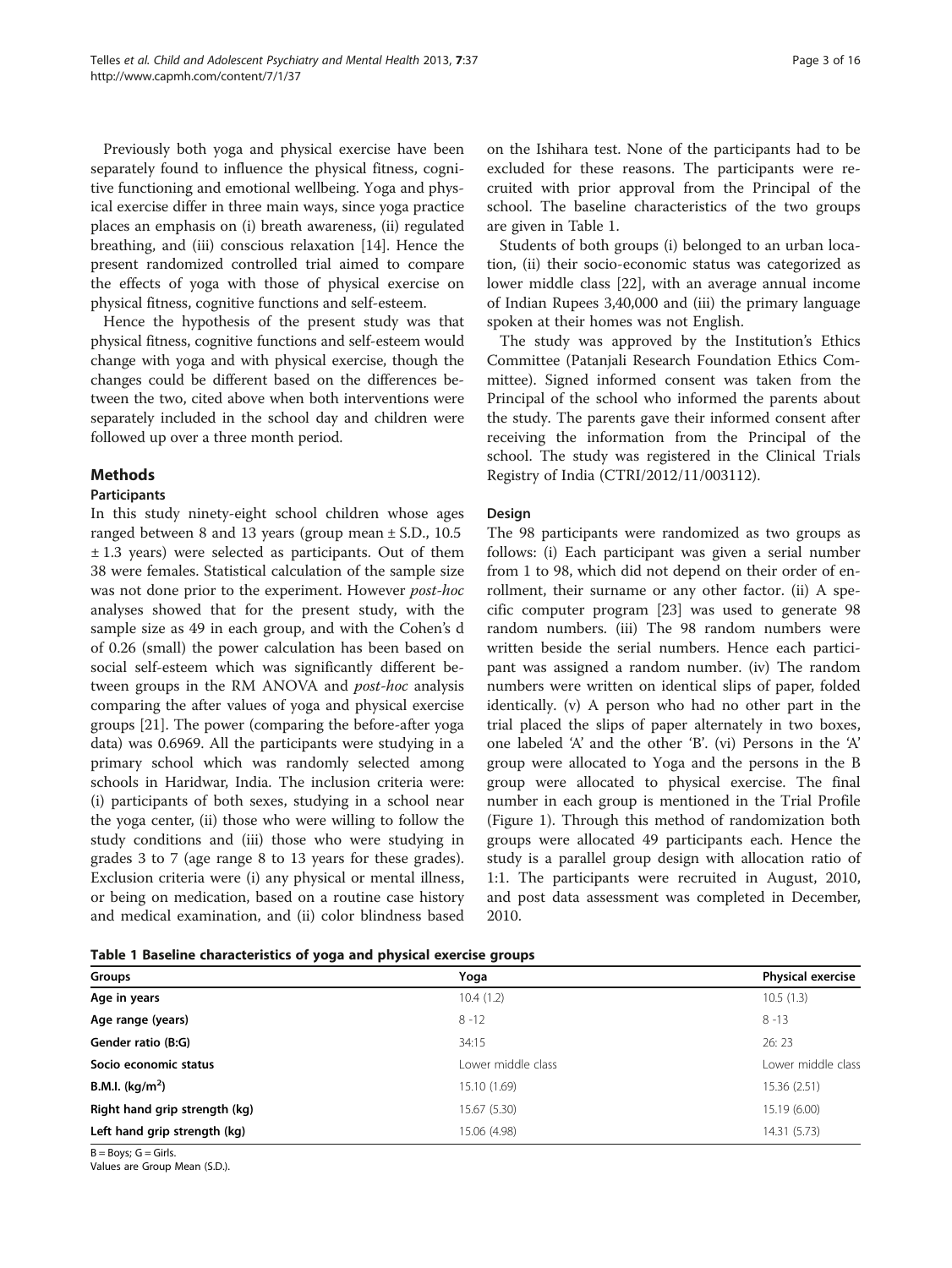Previously both yoga and physical exercise have been separately found to influence the physical fitness, cognitive functioning and emotional wellbeing. Yoga and physical exercise differ in three main ways, since yoga practice places an emphasis on (i) breath awareness, (ii) regulated breathing, and (iii) conscious relaxation [[14\]](#page-14-0). Hence the present randomized controlled trial aimed to compare the effects of yoga with those of physical exercise on physical fitness, cognitive functions and self-esteem.

Hence the hypothesis of the present study was that physical fitness, cognitive functions and self-esteem would change with yoga and with physical exercise, though the changes could be different based on the differences between the two, cited above when both interventions were separately included in the school day and children were followed up over a three month period.

# **Methods**

### Participants

In this study ninety-eight school children whose ages ranged between 8 and 13 years (group mean  $\pm$  S.D., 10.5 ± 1.3 years) were selected as participants. Out of them 38 were females. Statistical calculation of the sample size was not done prior to the experiment. However post-hoc analyses showed that for the present study, with the sample size as 49 in each group, and with the Cohen's d of 0.26 (small) the power calculation has been based on social self-esteem which was significantly different between groups in the RM ANOVA and post-hoc analysis comparing the after values of yoga and physical exercise groups [[21](#page-14-0)]. The power (comparing the before-after yoga data) was 0.6969. All the participants were studying in a primary school which was randomly selected among schools in Haridwar, India. The inclusion criteria were: (i) participants of both sexes, studying in a school near the yoga center, (ii) those who were willing to follow the study conditions and (iii) those who were studying in grades 3 to 7 (age range 8 to 13 years for these grades). Exclusion criteria were (i) any physical or mental illness, or being on medication, based on a routine case history and medical examination, and (ii) color blindness based

Students of both groups (i) belonged to an urban location, (ii) their socio-economic status was categorized as lower middle class [\[22\]](#page-14-0), with an average annual income of Indian Rupees 3,40,000 and (iii) the primary language spoken at their homes was not English.

The study was approved by the Institution's Ethics Committee (Patanjali Research Foundation Ethics Committee). Signed informed consent was taken from the Principal of the school who informed the parents about the study. The parents gave their informed consent after receiving the information from the Principal of the school. The study was registered in the Clinical Trials Registry of India (CTRI/2012/11/003112).

# Design

The 98 participants were randomized as two groups as follows: (i) Each participant was given a serial number from 1 to 98, which did not depend on their order of enrollment, their surname or any other factor. (ii) A specific computer program [\[23\]](#page-14-0) was used to generate 98 random numbers. (iii) The 98 random numbers were written beside the serial numbers. Hence each participant was assigned a random number. (iv) The random numbers were written on identical slips of paper, folded identically. (v) A person who had no other part in the trial placed the slips of paper alternately in two boxes, one labeled 'A' and the other 'B'. (vi) Persons in the 'A' group were allocated to Yoga and the persons in the B group were allocated to physical exercise. The final number in each group is mentioned in the Trial Profile (Figure [1](#page-3-0)). Through this method of randomization both groups were allocated 49 participants each. Hence the study is a parallel group design with allocation ratio of 1:1. The participants were recruited in August, 2010, and post data assessment was completed in December, 2010.

| Groups                        | Yoga               | <b>Physical exercise</b> |
|-------------------------------|--------------------|--------------------------|
| Age in years                  | 10.4(1.2)          | 10.5(1.3)                |
| Age range (years)             | $8 - 12$           | $8 - 13$                 |
| Gender ratio (B:G)            | 34:15              | 26:23                    |
| Socio economic status         | Lower middle class | Lower middle class       |
| <b>B.M.I.</b> ( $kg/m2$ )     | 15.10 (1.69)       | 15.36 (2.51)             |
| Right hand grip strength (kg) | 15.67 (5.30)       | 15.19 (6.00)             |
| Left hand grip strength (kg)  | 15.06 (4.98)       | 14.31 (5.73)             |
| .                             |                    |                          |

 $B = Boys; G = Girls.$ 

Values are Group Mean (S.D.).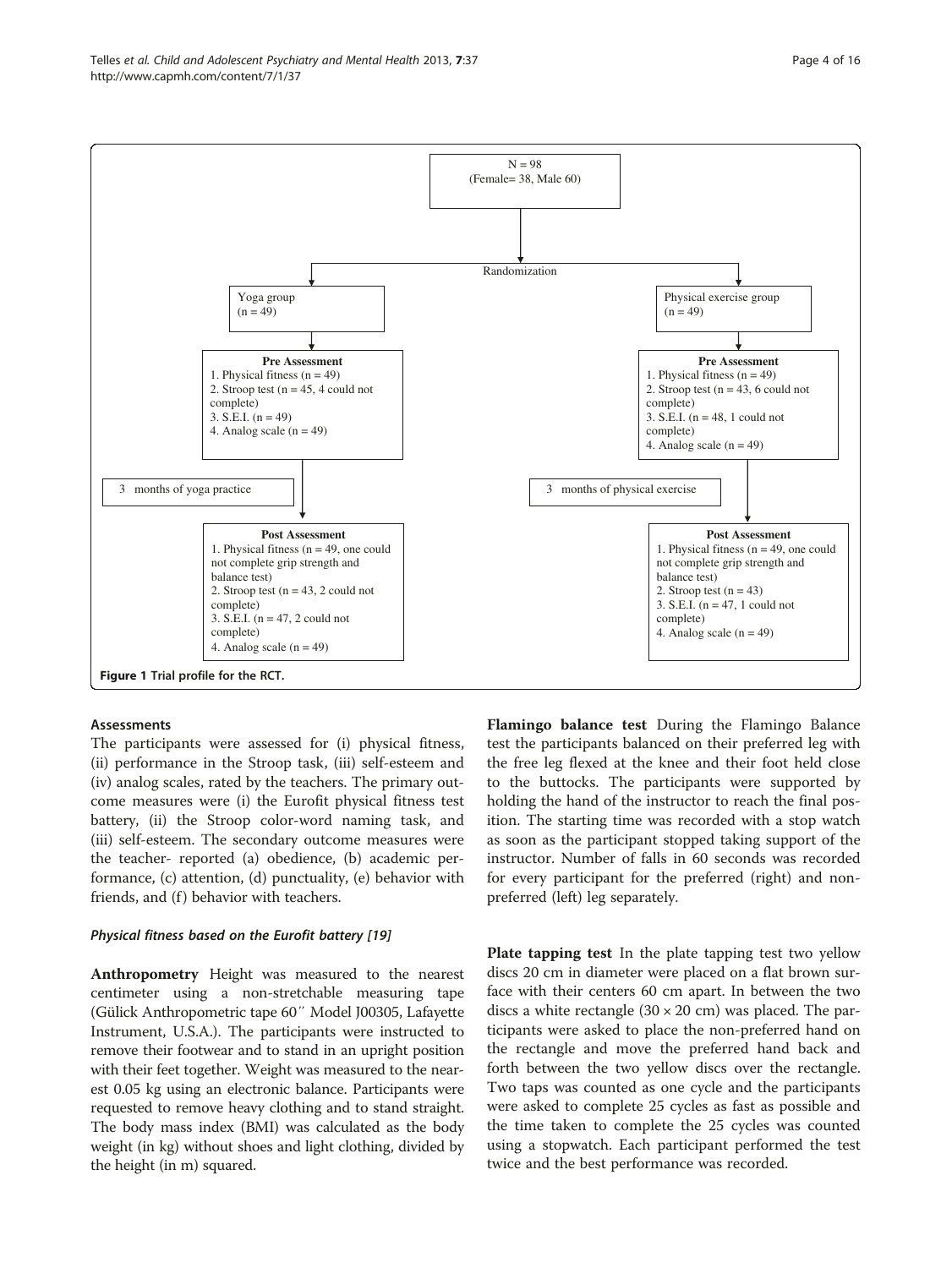<span id="page-3-0"></span>

#### **Assessments**

The participants were assessed for (i) physical fitness, (ii) performance in the Stroop task, (iii) self-esteem and (iv) analog scales, rated by the teachers. The primary outcome measures were (i) the Eurofit physical fitness test battery, (ii) the Stroop color-word naming task, and (iii) self-esteem. The secondary outcome measures were the teacher- reported (a) obedience, (b) academic performance, (c) attention, (d) punctuality, (e) behavior with friends, and (f) behavior with teachers.

#### Physical fitness based on the Eurofit battery [[19](#page-14-0)]

Anthropometry Height was measured to the nearest centimeter using a non-stretchable measuring tape (Gülick Anthropometric tape 60″ Model J00305, Lafayette Instrument, U.S.A.). The participants were instructed to remove their footwear and to stand in an upright position with their feet together. Weight was measured to the nearest 0.05 kg using an electronic balance. Participants were requested to remove heavy clothing and to stand straight. The body mass index (BMI) was calculated as the body weight (in kg) without shoes and light clothing, divided by the height (in m) squared.

Flamingo balance test During the Flamingo Balance test the participants balanced on their preferred leg with the free leg flexed at the knee and their foot held close to the buttocks. The participants were supported by holding the hand of the instructor to reach the final position. The starting time was recorded with a stop watch as soon as the participant stopped taking support of the instructor. Number of falls in 60 seconds was recorded for every participant for the preferred (right) and nonpreferred (left) leg separately.

Plate tapping test In the plate tapping test two yellow discs 20 cm in diameter were placed on a flat brown surface with their centers 60 cm apart. In between the two discs a white rectangle  $(30 \times 20 \text{ cm})$  was placed. The participants were asked to place the non-preferred hand on the rectangle and move the preferred hand back and forth between the two yellow discs over the rectangle. Two taps was counted as one cycle and the participants were asked to complete 25 cycles as fast as possible and the time taken to complete the 25 cycles was counted using a stopwatch. Each participant performed the test twice and the best performance was recorded.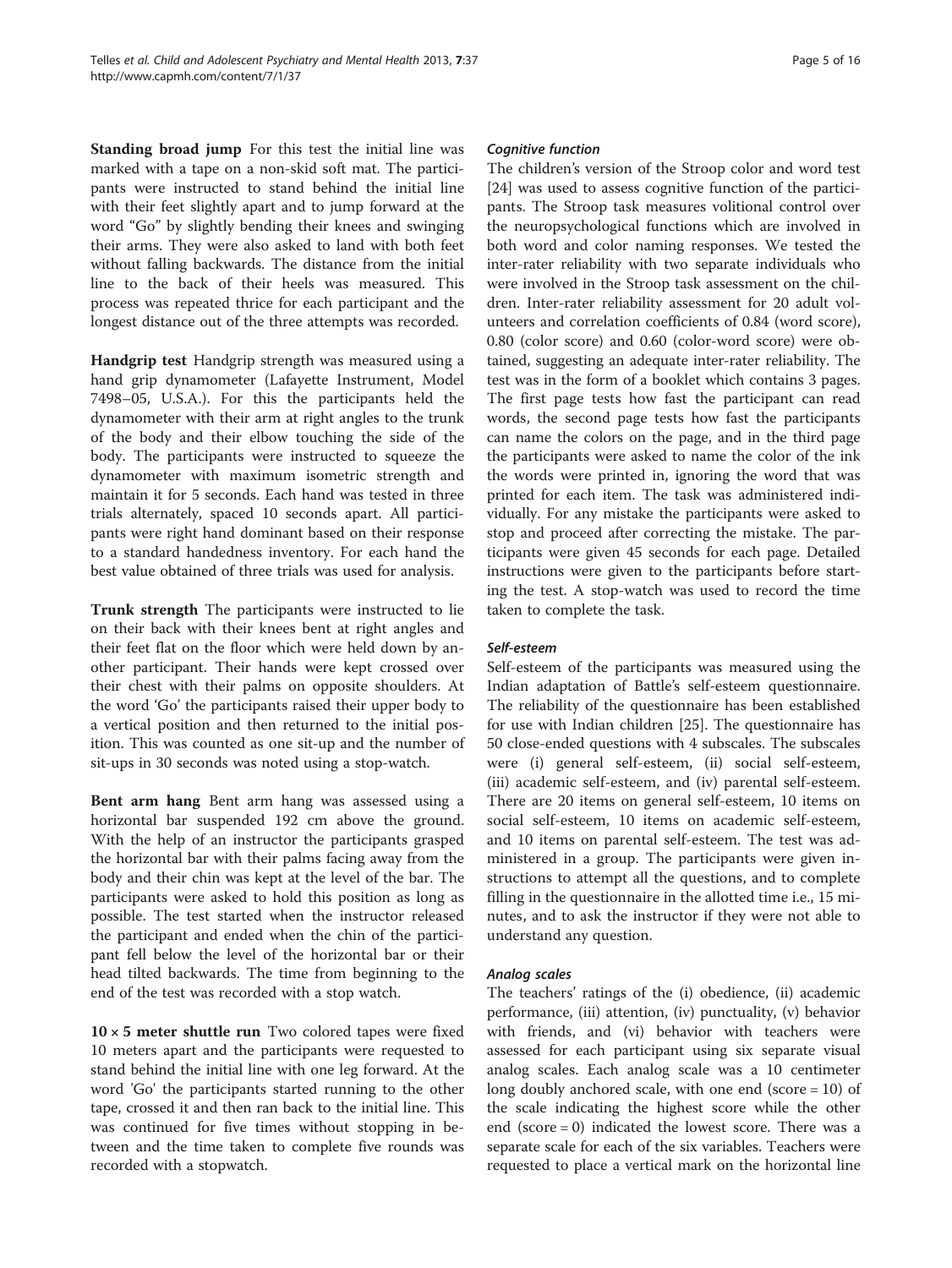Standing broad jump For this test the initial line was marked with a tape on a non-skid soft mat. The participants were instructed to stand behind the initial line with their feet slightly apart and to jump forward at the word "Go" by slightly bending their knees and swinging their arms. They were also asked to land with both feet without falling backwards. The distance from the initial line to the back of their heels was measured. This process was repeated thrice for each participant and the longest distance out of the three attempts was recorded.

Handgrip test Handgrip strength was measured using a hand grip dynamometer (Lafayette Instrument, Model 7498–05, U.S.A.). For this the participants held the dynamometer with their arm at right angles to the trunk of the body and their elbow touching the side of the body. The participants were instructed to squeeze the dynamometer with maximum isometric strength and maintain it for 5 seconds. Each hand was tested in three trials alternately, spaced 10 seconds apart. All participants were right hand dominant based on their response to a standard handedness inventory. For each hand the best value obtained of three trials was used for analysis.

Trunk strength The participants were instructed to lie on their back with their knees bent at right angles and their feet flat on the floor which were held down by another participant. Their hands were kept crossed over their chest with their palms on opposite shoulders. At the word 'Go' the participants raised their upper body to a vertical position and then returned to the initial position. This was counted as one sit-up and the number of sit-ups in 30 seconds was noted using a stop-watch.

Bent arm hang Bent arm hang was assessed using a horizontal bar suspended 192 cm above the ground. With the help of an instructor the participants grasped the horizontal bar with their palms facing away from the body and their chin was kept at the level of the bar. The participants were asked to hold this position as long as possible. The test started when the instructor released the participant and ended when the chin of the participant fell below the level of the horizontal bar or their head tilted backwards. The time from beginning to the end of the test was recorded with a stop watch.

 $10 \times 5$  meter shuttle run Two colored tapes were fixed 10 meters apart and the participants were requested to stand behind the initial line with one leg forward. At the word 'Go' the participants started running to the other tape, crossed it and then ran back to the initial line. This was continued for five times without stopping in between and the time taken to complete five rounds was recorded with a stopwatch.

#### Cognitive function

The children's version of the Stroop color and word test [[24\]](#page-14-0) was used to assess cognitive function of the participants. The Stroop task measures volitional control over the neuropsychological functions which are involved in both word and color naming responses. We tested the inter-rater reliability with two separate individuals who were involved in the Stroop task assessment on the children. Inter-rater reliability assessment for 20 adult volunteers and correlation coefficients of 0.84 (word score), 0.80 (color score) and 0.60 (color-word score) were obtained, suggesting an adequate inter-rater reliability. The test was in the form of a booklet which contains 3 pages. The first page tests how fast the participant can read words, the second page tests how fast the participants can name the colors on the page, and in the third page the participants were asked to name the color of the ink the words were printed in, ignoring the word that was printed for each item. The task was administered individually. For any mistake the participants were asked to stop and proceed after correcting the mistake. The participants were given 45 seconds for each page. Detailed instructions were given to the participants before starting the test. A stop-watch was used to record the time taken to complete the task.

# Self-esteem

Self-esteem of the participants was measured using the Indian adaptation of Battle's self-esteem questionnaire. The reliability of the questionnaire has been established for use with Indian children [[25\]](#page-14-0). The questionnaire has 50 close-ended questions with 4 subscales. The subscales were (i) general self-esteem, (ii) social self-esteem, (iii) academic self-esteem, and (iv) parental self-esteem. There are 20 items on general self-esteem, 10 items on social self-esteem, 10 items on academic self-esteem, and 10 items on parental self-esteem. The test was administered in a group. The participants were given instructions to attempt all the questions, and to complete filling in the questionnaire in the allotted time i.e., 15 minutes, and to ask the instructor if they were not able to understand any question.

#### Analog scales

The teachers' ratings of the (i) obedience, (ii) academic performance, (iii) attention, (iv) punctuality, (v) behavior with friends, and (vi) behavior with teachers were assessed for each participant using six separate visual analog scales. Each analog scale was a 10 centimeter long doubly anchored scale, with one end (score = 10) of the scale indicating the highest score while the other end (score = 0) indicated the lowest score. There was a separate scale for each of the six variables. Teachers were requested to place a vertical mark on the horizontal line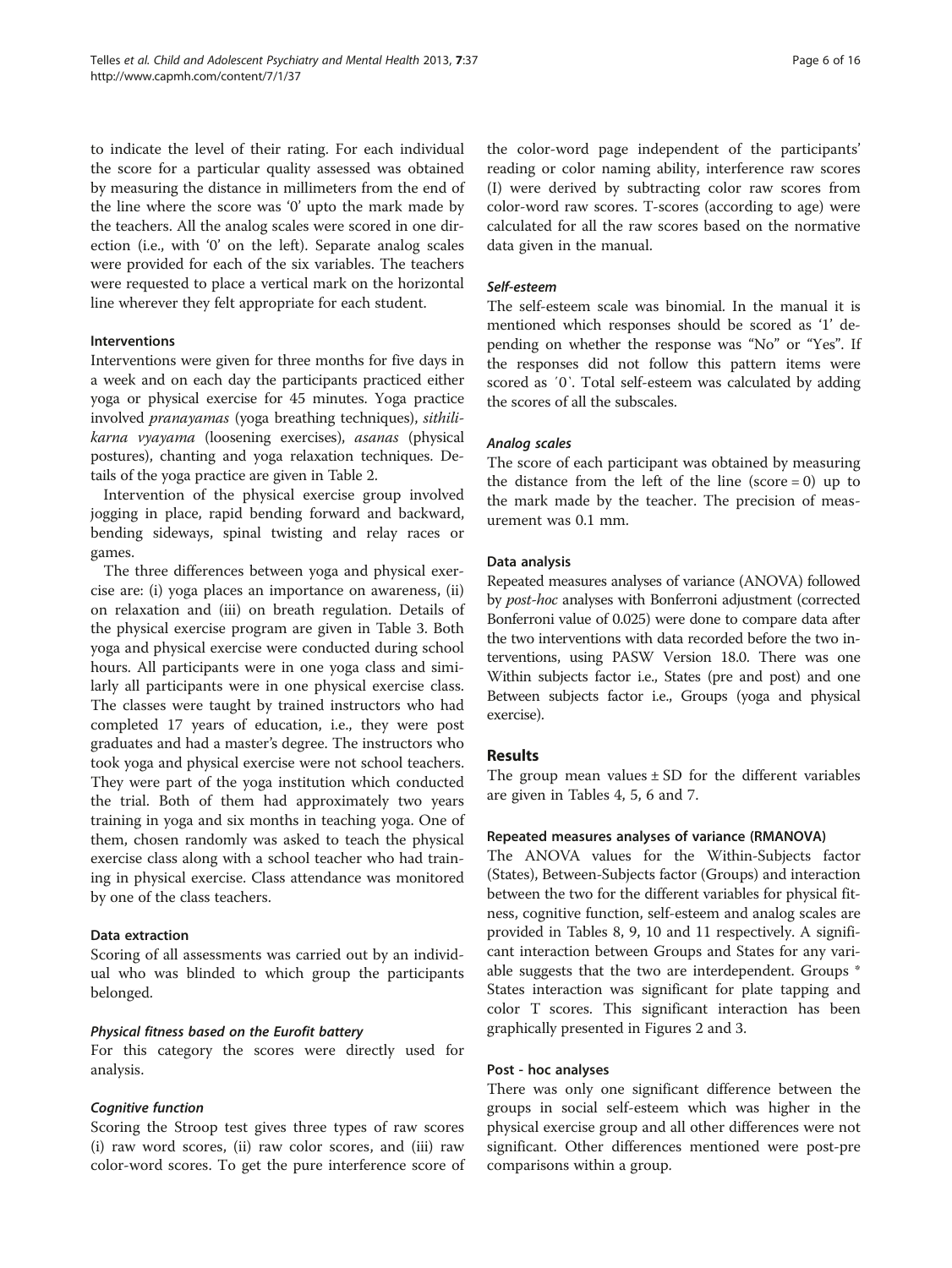to indicate the level of their rating. For each individual the score for a particular quality assessed was obtained by measuring the distance in millimeters from the end of the line where the score was '0' upto the mark made by the teachers. All the analog scales were scored in one direction (i.e., with '0' on the left). Separate analog scales were provided for each of the six variables. The teachers were requested to place a vertical mark on the horizontal line wherever they felt appropriate for each student.

### Interventions

Interventions were given for three months for five days in a week and on each day the participants practiced either yoga or physical exercise for 45 minutes. Yoga practice involved pranayamas (yoga breathing techniques), sithilikarna vyayama (loosening exercises), asanas (physical postures), chanting and yoga relaxation techniques. Details of the yoga practice are given in Table [2](#page-6-0).

Intervention of the physical exercise group involved jogging in place, rapid bending forward and backward, bending sideways, spinal twisting and relay races or games.

The three differences between yoga and physical exercise are: (i) yoga places an importance on awareness, (ii) on relaxation and (iii) on breath regulation. Details of the physical exercise program are given in Table [3.](#page-7-0) Both yoga and physical exercise were conducted during school hours. All participants were in one yoga class and similarly all participants were in one physical exercise class. The classes were taught by trained instructors who had completed 17 years of education, i.e., they were post graduates and had a master's degree. The instructors who took yoga and physical exercise were not school teachers. They were part of the yoga institution which conducted the trial. Both of them had approximately two years training in yoga and six months in teaching yoga. One of them, chosen randomly was asked to teach the physical exercise class along with a school teacher who had training in physical exercise. Class attendance was monitored by one of the class teachers.

# Data extraction

Scoring of all assessments was carried out by an individual who was blinded to which group the participants belonged.

# Physical fitness based on the Eurofit battery

For this category the scores were directly used for analysis.

# Cognitive function

Scoring the Stroop test gives three types of raw scores (i) raw word scores, (ii) raw color scores, and (iii) raw color-word scores. To get the pure interference score of the color-word page independent of the participants' reading or color naming ability, interference raw scores (I) were derived by subtracting color raw scores from color-word raw scores. T-scores (according to age) were calculated for all the raw scores based on the normative data given in the manual.

## Self-esteem

The self-esteem scale was binomial. In the manual it is mentioned which responses should be scored as '1' depending on whether the response was "No" or "Yes". If the responses did not follow this pattern items were scored as '0'. Total self-esteem was calculated by adding the scores of all the subscales.

### Analog scales

The score of each participant was obtained by measuring the distance from the left of the line (score  $= 0$ ) up to the mark made by the teacher. The precision of measurement was 0.1 mm.

### Data analysis

Repeated measures analyses of variance (ANOVA) followed by post-hoc analyses with Bonferroni adjustment (corrected Bonferroni value of 0.025) were done to compare data after the two interventions with data recorded before the two interventions, using PASW Version 18.0. There was one Within subjects factor i.e., States (pre and post) and one Between subjects factor i.e., Groups (yoga and physical exercise).

# Results

The group mean values  $\pm$  SD for the different variables are given in Tables [4](#page-8-0), [5](#page-8-0), [6](#page-9-0) and [7](#page-9-0).

### Repeated measures analyses of variance (RMANOVA)

The ANOVA values for the Within-Subjects factor (States), Between-Subjects factor (Groups) and interaction between the two for the different variables for physical fitness, cognitive function, self-esteem and analog scales are provided in Tables [8](#page-10-0), [9, 10](#page-11-0) and [11](#page-12-0) respectively. A significant interaction between Groups and States for any variable suggests that the two are interdependent. Groups \* States interaction was significant for plate tapping and color T scores. This significant interaction has been graphically presented in Figures [2](#page-12-0) and [3](#page-13-0).

#### Post - hoc analyses

There was only one significant difference between the groups in social self-esteem which was higher in the physical exercise group and all other differences were not significant. Other differences mentioned were post-pre comparisons within a group.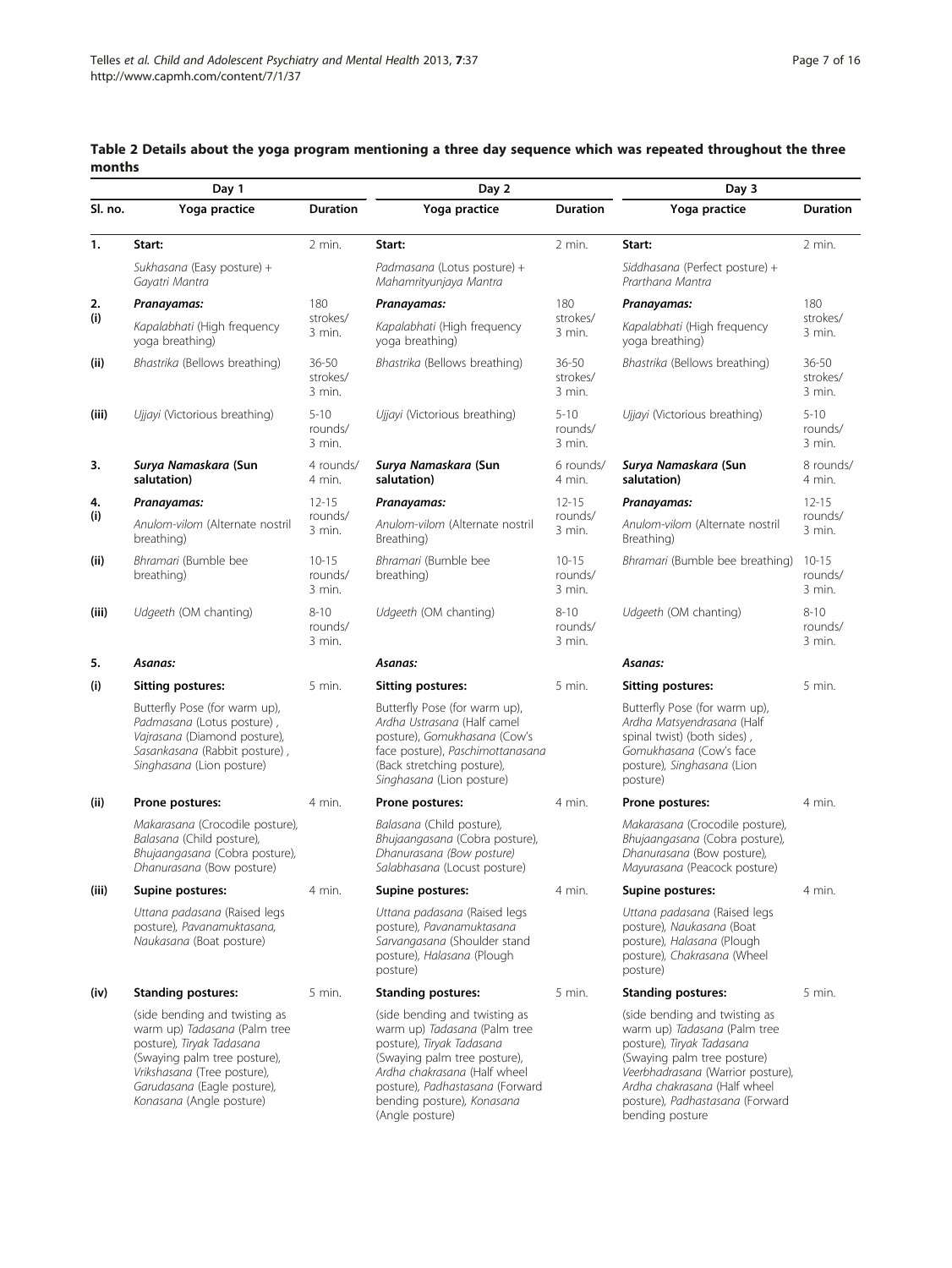# <span id="page-6-0"></span>Table 2 Details about the yoga program mentioning a three day sequence which was repeated throughout the three months

|         | Day 1                                                                                                                                                                                                                |                                 | Day 2                                                                                                                                                                                                                                          |                                   | Day 3                                                                                                                                                                                                                                                |                                  |
|---------|----------------------------------------------------------------------------------------------------------------------------------------------------------------------------------------------------------------------|---------------------------------|------------------------------------------------------------------------------------------------------------------------------------------------------------------------------------------------------------------------------------------------|-----------------------------------|------------------------------------------------------------------------------------------------------------------------------------------------------------------------------------------------------------------------------------------------------|----------------------------------|
| Sl. no. | Yoga practice                                                                                                                                                                                                        | <b>Duration</b>                 | Yoga practice                                                                                                                                                                                                                                  | <b>Duration</b>                   | Yoga practice                                                                                                                                                                                                                                        | <b>Duration</b>                  |
| 1.      | Start:                                                                                                                                                                                                               | 2 min.                          | Start:                                                                                                                                                                                                                                         | 2 min.                            | Start:                                                                                                                                                                                                                                               | 2 min.                           |
|         | Sukhasana (Easy posture) +<br>Gayatri Mantra                                                                                                                                                                         |                                 | Padmasana (Lotus posture) +<br>Mahamrityunjaya Mantra                                                                                                                                                                                          |                                   | Siddhasana (Perfect posture) +<br>Prarthana Mantra                                                                                                                                                                                                   |                                  |
| 2.      | Pranayamas:                                                                                                                                                                                                          | 180                             | Pranayamas:                                                                                                                                                                                                                                    | 180                               | Pranayamas:                                                                                                                                                                                                                                          | 180                              |
| (i)     | Kapalabhati (High frequency<br>yoga breathing)                                                                                                                                                                       | strokes/<br>3 min.              | Kapalabhati (High frequency<br>yoga breathing)                                                                                                                                                                                                 | strokes/<br>3 min.                | Kapalabhati (High frequency<br>yoga breathing)                                                                                                                                                                                                       | strokes/<br>3 min.               |
| (ii)    | Bhastrika (Bellows breathing)                                                                                                                                                                                        | $36 - 50$<br>strokes/<br>3 min. | Bhastrika (Bellows breathing)                                                                                                                                                                                                                  | $36 - 50$<br>strokes/<br>$3$ min. | Bhastrika (Bellows breathing)                                                                                                                                                                                                                        | $36 - 50$<br>strokes/<br>3 min.  |
| (iii)   | Ujjayi (Victorious breathing)                                                                                                                                                                                        | $5 - 10$<br>rounds/<br>3 min.   | Ujjayi (Victorious breathing)                                                                                                                                                                                                                  | $5 - 10$<br>rounds/<br>3 min.     | Ujjayi (Victorious breathing)                                                                                                                                                                                                                        | $5 - 10$<br>rounds/<br>3 min.    |
| 3.      | Surya Namaskara (Sun<br>salutation)                                                                                                                                                                                  | 4 rounds/<br>4 min.             | Surya Namaskara (Sun<br>salutation)                                                                                                                                                                                                            | 6 rounds/<br>4 min.               | Surya Namaskara (Sun<br>salutation)                                                                                                                                                                                                                  | 8 rounds/<br>4 min.              |
| 4.      | Pranayamas:                                                                                                                                                                                                          | $12 - 15$                       | Pranayamas:                                                                                                                                                                                                                                    | $12 - 15$                         | Pranayamas:                                                                                                                                                                                                                                          | $12 - 15$                        |
| (i)     | Anulom-vilom (Alternate nostril<br>breathing)                                                                                                                                                                        | rounds/<br>3 min.               | Anulom-vilom (Alternate nostril<br>Breathing)                                                                                                                                                                                                  | rounds/<br>3 min.                 | Anulom-vilom (Alternate nostril<br>Breathing)                                                                                                                                                                                                        | rounds/<br>3 min.                |
| (ii)    | Bhramari (Bumble bee<br>breathing)                                                                                                                                                                                   | $10 - 15$<br>rounds/<br>3 min.  | Bhramari (Bumble bee<br>breathing)                                                                                                                                                                                                             | $10 - 15$<br>rounds/<br>$3$ min.  | Bhramari (Bumble bee breathing)                                                                                                                                                                                                                      | $10 - 15$<br>rounds/<br>$3$ min. |
| (iii)   | Udgeeth (OM chanting)                                                                                                                                                                                                | $8 - 10$<br>rounds/<br>3 min.   | Udgeeth (OM chanting)                                                                                                                                                                                                                          | $8 - 10$<br>rounds/<br>$3$ min.   | Udgeeth (OM chanting)                                                                                                                                                                                                                                | $8 - 10$<br>rounds/<br>$3$ min.  |
| 5.      | Asanas:                                                                                                                                                                                                              |                                 | Asanas:                                                                                                                                                                                                                                        |                                   | Asanas:                                                                                                                                                                                                                                              |                                  |
| (i)     | <b>Sitting postures:</b>                                                                                                                                                                                             | $5$ min.                        | <b>Sitting postures:</b>                                                                                                                                                                                                                       | $5$ min.                          | <b>Sitting postures:</b>                                                                                                                                                                                                                             | $5$ min.                         |
|         | Butterfly Pose (for warm up),<br>Padmasana (Lotus posture),<br>Vajrasana (Diamond posture),<br>Sasankasana (Rabbit posture),<br>Singhasana (Lion posture)                                                            |                                 | Butterfly Pose (for warm up),<br>Ardha Ustrasana (Half camel<br>posture), Gomukhasana (Cow's<br>face posture), Paschimottanasana<br>(Back stretching posture),<br>Singhasana (Lion posture)                                                    |                                   | Butterfly Pose (for warm up),<br>Ardha Matsyendrasana (Half<br>spinal twist) (both sides),<br>Gomukhasana (Cow's face<br>posture), Singhasana (Lion<br>posture)                                                                                      |                                  |
| (ii)    | Prone postures:                                                                                                                                                                                                      | 4 min.                          | Prone postures:                                                                                                                                                                                                                                | 4 min.                            | Prone postures:                                                                                                                                                                                                                                      | 4 min.                           |
|         | Makarasana (Crocodile posture),<br>Balasana (Child posture),<br>Bhujaangasana (Cobra posture),<br>Dhanurasana (Bow posture)                                                                                          |                                 | Balasana (Child posture),<br>Bhujaangasana (Cobra posture),<br>Dhanurasana (Bow posture)<br>Salabhasana (Locust posture)                                                                                                                       |                                   | Makarasana (Crocodile posture),<br>Bhujaangasana (Cobra posture),<br>Dhanurasana (Bow posture),<br>Mayurasana (Peacock posture)                                                                                                                      |                                  |
| (iii)   | Supine postures:                                                                                                                                                                                                     | 4 min.                          | Supine postures:                                                                                                                                                                                                                               | 4 min.                            | Supine postures:                                                                                                                                                                                                                                     | 4 min.                           |
|         | Uttana padasana (Raised legs<br>posture), Pavanamuktasana,<br>Naukasana (Boat posture)                                                                                                                               |                                 | Uttana padasana (Raised legs<br>posture), Pavanamuktasana<br>Sarvangasana (Shoulder stand<br>posture), Halasana (Plough<br>posture)                                                                                                            |                                   | Uttana padasana (Raised legs<br>posture), Naukasana (Boat<br>posture), Halasana (Plough<br>posture), Chakrasana (Wheel<br>posture)                                                                                                                   |                                  |
| (iv)    | <b>Standing postures:</b>                                                                                                                                                                                            | 5 min.                          | <b>Standing postures:</b>                                                                                                                                                                                                                      | 5 min.                            | <b>Standing postures:</b>                                                                                                                                                                                                                            | 5 min.                           |
|         | (side bending and twisting as<br>warm up) Tadasana (Palm tree<br>posture), Tiryak Tadasana<br>(Swaying palm tree posture),<br>Vrikshasana (Tree posture),<br>Garudasana (Eagle posture),<br>Konasana (Angle posture) |                                 | (side bending and twisting as<br>warm up) Tadasana (Palm tree<br>posture), Tiryak Tadasana<br>(Swaying palm tree posture),<br>Ardha chakrasana (Half wheel<br>posture), Padhastasana (Forward<br>bending posture), Konasana<br>(Angle posture) |                                   | (side bending and twisting as<br>warm up) Tadasana (Palm tree<br>posture), Tiryak Tadasana<br>(Swaying palm tree posture)<br>Veerbhadrasana (Warrior posture),<br>Ardha chakrasana (Half wheel<br>posture), Padhastasana (Forward<br>bending posture |                                  |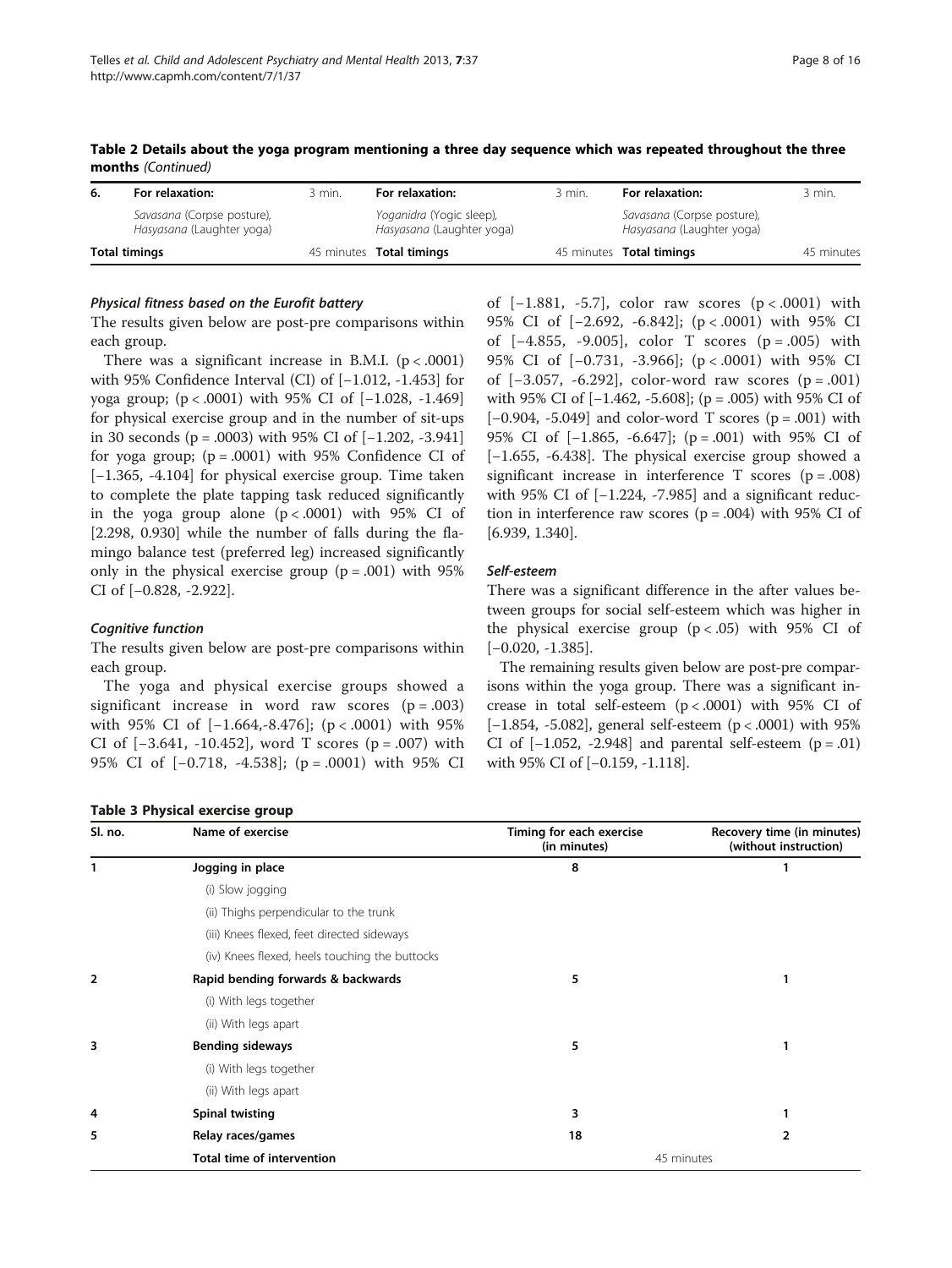|     | $\cdots$                                                |        |                                                       |        |                                                         |            |
|-----|---------------------------------------------------------|--------|-------------------------------------------------------|--------|---------------------------------------------------------|------------|
| -6. | For relaxation:                                         | 3 min. | For relaxation:                                       | 3 min. | For relaxation:                                         | 3 min.     |
|     | Savasana (Corpse posture),<br>Hasyasana (Laughter yoga) |        | Yoganidra (Yogic sleep),<br>Hasyasana (Laughter yoga) |        | Savasana (Corpse posture),<br>Hasyasana (Laughter yoga) |            |
|     | Total timings                                           |        | 45 minutes Total timings                              |        | 45 minutes <b>Total timings</b>                         | 45 minutes |

<span id="page-7-0"></span>Table 2 Details about the yoga program mentioning a three day sequence which was repeated throughout the three months (Continued)

#### Physical fitness based on the Eurofit battery

The results given below are post-pre comparisons within each group.

There was a significant increase in B.M.I.  $(p < .0001)$ with 95% Confidence Interval (CI) of [−1.012, -1.453] for yoga group; (p < .0001) with 95% CI of [−1.028, -1.469] for physical exercise group and in the number of sit-ups in 30 seconds (p = .0003) with 95% CI of [−1.202, -3.941] for yoga group;  $(p = .0001)$  with 95% Confidence CI of [−1.365, -4.104] for physical exercise group. Time taken to complete the plate tapping task reduced significantly in the yoga group alone  $(p < .0001)$  with 95% CI of [2.298, 0.930] while the number of falls during the flamingo balance test (preferred leg) increased significantly only in the physical exercise group  $(p = .001)$  with 95% CI of [−0.828, -2.922].

#### Cognitive function

The results given below are post-pre comparisons within each group.

The yoga and physical exercise groups showed a significant increase in word raw scores  $(p = .003)$ with 95% CI of [-1.664,-8.476]; (p < .0001) with 95% CI of  $[-3.641, -10.452]$ , word T scores (p = .007) with 95% CI of [-0.718, -4.538]; (p = .0001) with 95% CI of [−1.881, -5.7], color raw scores (p < .0001) with 95% CI of [−2.692, -6.842]; (p < .0001) with 95% CI of [−4.855, -9.005], color T scores (p = .005) with 95% CI of [−0.731, -3.966]; (p < .0001) with 95% CI of  $[-3.057, -6.292]$ , color-word raw scores (p = .001) with 95% CI of [−1.462, -5.608]; (p = .005) with 95% CI of [ $-0.904$ ,  $-5.049$ ] and color-word T scores ( $p = .001$ ) with 95% CI of [−1.865, -6.647]; (p = .001) with 95% CI of [−1.655, -6.438]. The physical exercise group showed a significant increase in interference  $T$  scores ( $p = .008$ ) with 95% CI of [−1.224, -7.985] and a significant reduction in interference raw scores ( $p = .004$ ) with 95% CI of [6.939, 1.340].

#### Self-esteem

There was a significant difference in the after values between groups for social self-esteem which was higher in the physical exercise group  $(p < .05)$  with 95% CI of [−0.020, -1.385].

The remaining results given below are post-pre comparisons within the yoga group. There was a significant increase in total self-esteem  $(p < .0001)$  with 95% CI of [−1.854, -5.082], general self-esteem (p < .0001) with 95% CI of  $[-1.052, -2.948]$  and parental self-esteem  $(p=.01)$ with 95% CI of [-0.159, -1.118].

Table 3 Physical exercise group

| Sl. no. | Name of exercise                               | Timing for each exercise<br>(in minutes) | Recovery time (in minutes)<br>(without instruction) |
|---------|------------------------------------------------|------------------------------------------|-----------------------------------------------------|
| 1       | Jogging in place                               | 8                                        |                                                     |
|         | (i) Slow jogging                               |                                          |                                                     |
|         | (ii) Thighs perpendicular to the trunk         |                                          |                                                     |
|         | (iii) Knees flexed, feet directed sideways     |                                          |                                                     |
|         | (iv) Knees flexed, heels touching the buttocks |                                          |                                                     |
| 2       | Rapid bending forwards & backwards             | 5                                        | 1                                                   |
|         | (i) With legs together                         |                                          |                                                     |
|         | (ii) With legs apart                           |                                          |                                                     |
| 3       | <b>Bending sideways</b>                        | 5                                        | 1                                                   |
|         | (i) With legs together                         |                                          |                                                     |
|         | (ii) With legs apart                           |                                          |                                                     |
| 4       | Spinal twisting                                | 3                                        | 1                                                   |
| 5       | Relay races/games                              | 18                                       | 2                                                   |
|         | <b>Total time of intervention</b>              |                                          | 45 minutes                                          |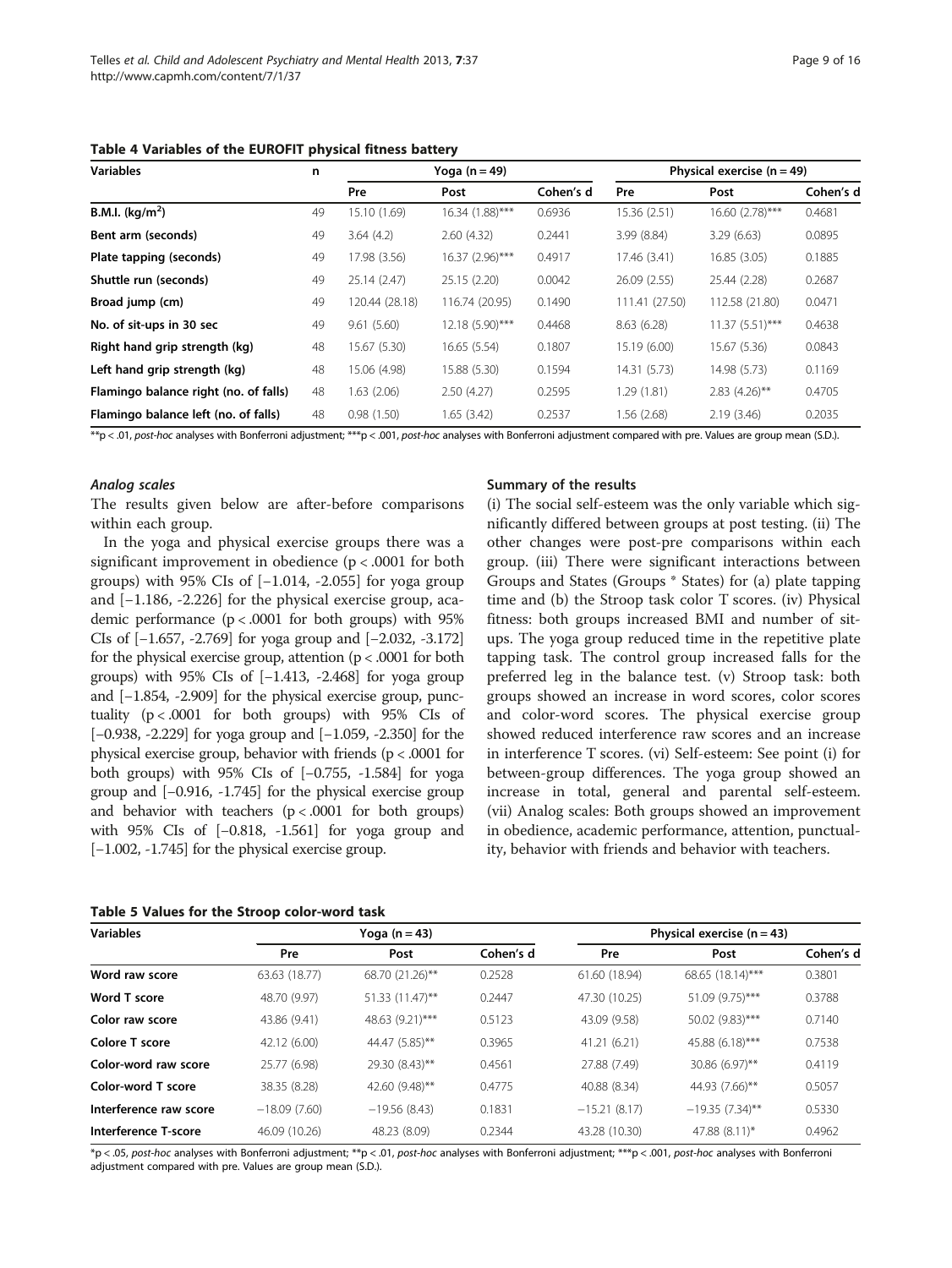| <b>Variables</b>                      |    | Yoga $(n = 49)$ |                   |           | Physical exercise $(n = 49)$ |                   |           |
|---------------------------------------|----|-----------------|-------------------|-----------|------------------------------|-------------------|-----------|
|                                       |    | Pre             | Post              | Cohen's d | Pre                          | Post              | Cohen's d |
| <b>B.M.I.</b> ( $kg/m2$ )             | 49 | 15.10 (1.69)    | 16.34 (1.88)***   | 0.6936    | 15.36 (2.51)                 | 16.60 (2.78)***   | 0.4681    |
| Bent arm (seconds)                    | 49 | 3.64(4.2)       | 2.60(4.32)        | 0.2441    | 3.99 (8.84)                  | 3.29(6.63)        | 0.0895    |
| Plate tapping (seconds)               | 49 | 17.98 (3.56)    | $16.37(2.96)$ *** | 0.4917    | 17.46 (3.41)                 | 16.85 (3.05)      | 0.1885    |
| Shuttle run (seconds)                 | 49 | 25.14 (2.47)    | 25.15 (2.20)      | 0.0042    | 26.09 (2.55)                 | 25.44 (2.28)      | 0.2687    |
| Broad jump (cm)                       | 49 | 120.44 (28.18)  | 116.74 (20.95)    | 0.1490    | 111.41 (27.50)               | 112.58 (21.80)    | 0.0471    |
| No. of sit-ups in 30 sec              | 49 | 9.61(5.60)      | 12.18 (5.90)***   | 0.4468    | 8.63(6.28)                   | $11.37(5.51)$ *** | 0.4638    |
| Right hand grip strength (kg)         | 48 | 15.67 (5.30)    | 16.65 (5.54)      | 0.1807    | 15.19 (6.00)                 | 15.67 (5.36)      | 0.0843    |
| Left hand grip strength (kg)          | 48 | 15.06 (4.98)    | 15.88 (5.30)      | 0.1594    | 14.31 (5.73)                 | 14.98 (5.73)      | 0.1169    |
| Flamingo balance right (no. of falls) | 48 | 1.63 (2.06)     | 2.50(4.27)        | 0.2595    | 1.29(1.81)                   | $2.83(4.26)$ **   | 0.4705    |
| Flamingo balance left (no. of falls)  | 48 | 0.98(1.50)      | 1.65(3.42)        | 0.2537    | 1.56(2.68)                   | 2.19(3.46)        | 0.2035    |

<span id="page-8-0"></span>Table 4 Variables of the EUROFIT physical fitness battery

\*\*p < .01, post-hoc analyses with Bonferroni adjustment; \*\*\*p < .001, post-hoc analyses with Bonferroni adjustment compared with pre. Values are group mean (S.D.).

#### Analog scales

The results given below are after-before comparisons within each group.

In the yoga and physical exercise groups there was a significant improvement in obedience (p < .0001 for both groups) with 95% CIs of  $[-1.014, -2.055]$  for yoga group and [−1.186, -2.226] for the physical exercise group, academic performance  $(p < .0001$  for both groups) with 95% CIs of [−1.657, -2.769] for yoga group and [−2.032, -3.172] for the physical exercise group, attention ( $p < .0001$  for both groups) with 95% CIs of [−1.413, -2.468] for yoga group and [−1.854, -2.909] for the physical exercise group, punctuality  $(p < .0001$  for both groups) with 95% CIs of [−0.938, -2.229] for yoga group and [−1.059, -2.350] for the physical exercise group, behavior with friends (p < .0001 for both groups) with 95% CIs of [−0.755, -1.584] for yoga group and [−0.916, -1.745] for the physical exercise group and behavior with teachers  $(p < .0001$  for both groups) with 95% CIs of [−0.818, -1.561] for yoga group and [−1.002, -1.745] for the physical exercise group.

|  |  |  |  |  | Table 5 Values for the Stroop color-word task |  |
|--|--|--|--|--|-----------------------------------------------|--|
|--|--|--|--|--|-----------------------------------------------|--|

#### Summary of the results

(i) The social self-esteem was the only variable which significantly differed between groups at post testing. (ii) The other changes were post-pre comparisons within each group. (iii) There were significant interactions between Groups and States (Groups \* States) for (a) plate tapping time and (b) the Stroop task color T scores. (iv) Physical fitness: both groups increased BMI and number of situps. The yoga group reduced time in the repetitive plate tapping task. The control group increased falls for the preferred leg in the balance test. (v) Stroop task: both groups showed an increase in word scores, color scores and color-word scores. The physical exercise group showed reduced interference raw scores and an increase in interference T scores. (vi) Self-esteem: See point (i) for between-group differences. The yoga group showed an increase in total, general and parental self-esteem. (vii) Analog scales: Both groups showed an improvement in obedience, academic performance, attention, punctuality, behavior with friends and behavior with teachers.

| <b>Variables</b>       | Yoga $(n=43)$  |                 |           | Physical exercise $(n = 43)$ |                   |           |  |
|------------------------|----------------|-----------------|-----------|------------------------------|-------------------|-----------|--|
|                        | Pre            | Post            | Cohen's d | Pre                          | Post              | Cohen's d |  |
| Word raw score         | 63.63 (18.77)  | 68.70 (21.26)** | 0.2528    | 61.60 (18.94)                | 68.65 (18.14)***  | 0.3801    |  |
| Word T score           | 48.70 (9.97)   | 51.33 (11.47)** | 0.2447    | 47.30 (10.25)                | 51.09 (9.75)***   | 0.3788    |  |
| Color raw score        | 43.86 (9.41)   | 48.63 (9.21)*** | 0.5123    | 43.09 (9.58)                 | 50.02 (9.83)***   | 0.7140    |  |
| Colore T score         | 42.12 (6.00)   | 44.47 (5.85)**  | 0.3965    | 41.21 (6.21)                 | 45.88 (6.18)***   | 0.7538    |  |
| Color-word raw score   | 25.77 (6.98)   | 29.30 (8.43)**  | 0.4561    | 27.88 (7.49)                 | $30.86(6.97)$ **  | 0.4119    |  |
| Color-word T score     | 38.35 (8.28)   | 42.60 (9.48)**  | 0.4775    | 40.88 (8.34)                 | 44.93 (7.66)**    | 0.5057    |  |
| Interference raw score | $-18.09(7.60)$ | $-19.56(8.43)$  | 0.1831    | $-15.21(8.17)$               | $-19.35(7.34)$ ** | 0.5330    |  |
| Interference T-score   | 46.09 (10.26)  | 48.23 (8.09)    | 0.2344    | 43.28 (10.30)                | 47.88 (8.11)*     | 0.4962    |  |

\*p < .05, post-hoc analyses with Bonferroni adjustment; \*\*p < .01, post-hoc analyses with Bonferroni adjustment; \*\*\*p < .001, post-hoc analyses with Bonferroni adjustment compared with pre. Values are group mean (S.D.).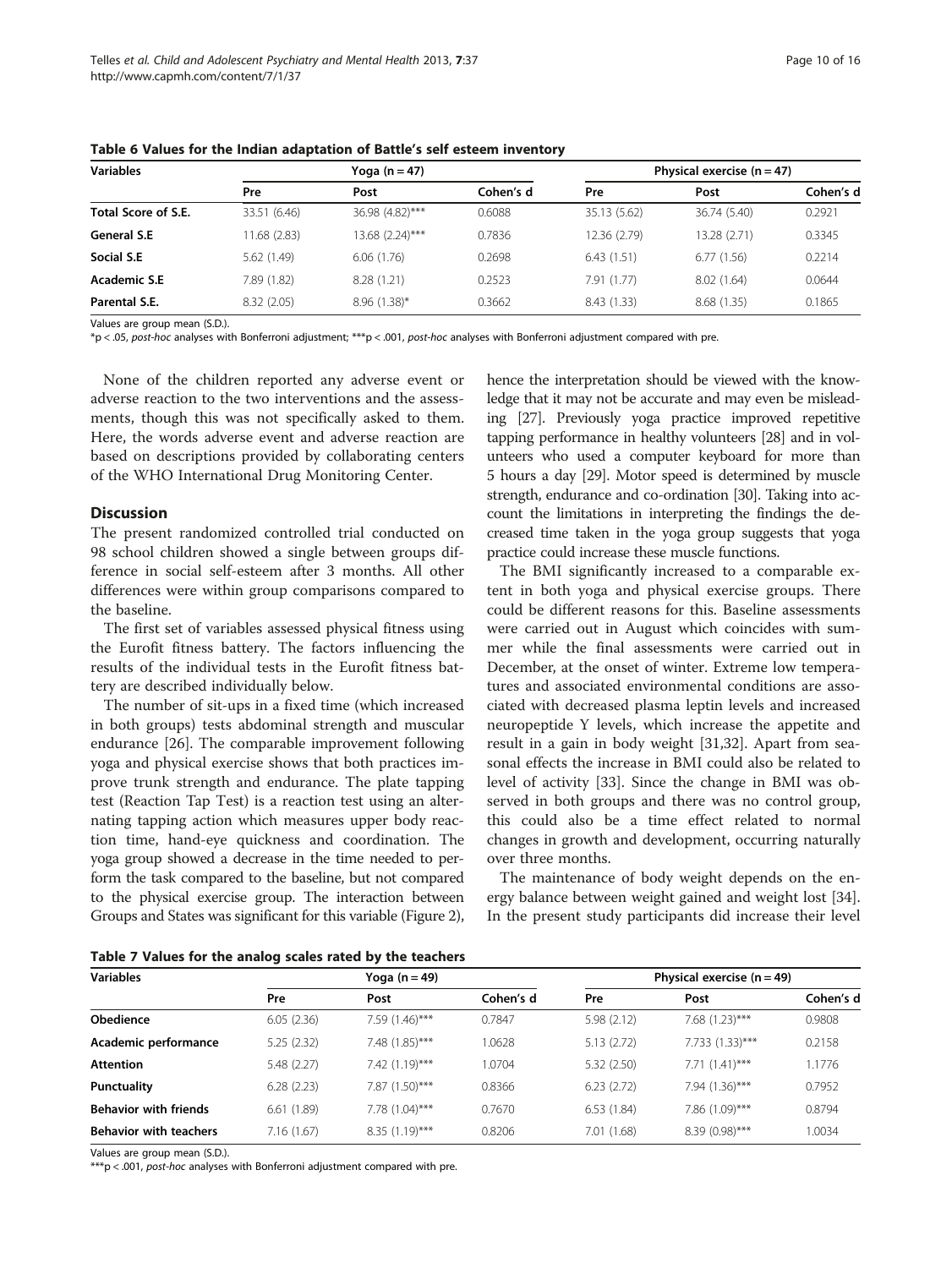| <b>Variables</b>    |              | Yoga $(n = 47)$ |           |              | Physical exercise $(n = 47)$ |           |
|---------------------|--------------|-----------------|-----------|--------------|------------------------------|-----------|
|                     | Pre          | Post            | Cohen's d | Pre          | Post                         | Cohen's d |
| Total Score of S.E. | 33.51 (6.46) | 36.98 (4.82)*** | 0.6088    | 35.13 (5.62) | 36.74 (5.40)                 | 0.2921    |
| <b>General S.E</b>  | 11.68 (2.83) | 13.68 (2.24)*** | 0.7836    | 12.36 (2.79) | 13.28 (2.71)                 | 0.3345    |
| Social S.E          | 5.62 (1.49)  | 6.06(1.76)      | 0.2698    | 6.43(1.51)   | 6.77(1.56)                   | 0.2214    |
| Academic S.E        | 7.89 (1.82)  | 8.28(1.21)      | 0.2523    | 7.91 (1.77)  | 8.02(1.64)                   | 0.0644    |
| Parental S.E.       | 8.32(2.05)   | $8.96(1.38)^*$  | 0.3662    | 8.43 (1.33)  | 8.68(1.35)                   | 0.1865    |

<span id="page-9-0"></span>Table 6 Values for the Indian adaptation of Battle's self esteem inventory

Values are group mean (S.D.).

\*p < .05, post-hoc analyses with Bonferroni adjustment; \*\*\*p < .001, post-hoc analyses with Bonferroni adjustment compared with pre.

None of the children reported any adverse event or adverse reaction to the two interventions and the assessments, though this was not specifically asked to them. Here, the words adverse event and adverse reaction are based on descriptions provided by collaborating centers of the WHO International Drug Monitoring Center.

#### **Discussion**

The present randomized controlled trial conducted on 98 school children showed a single between groups difference in social self-esteem after 3 months. All other differences were within group comparisons compared to the baseline.

The first set of variables assessed physical fitness using the Eurofit fitness battery. The factors influencing the results of the individual tests in the Eurofit fitness battery are described individually below.

The number of sit-ups in a fixed time (which increased in both groups) tests abdominal strength and muscular endurance [[26\]](#page-14-0). The comparable improvement following yoga and physical exercise shows that both practices improve trunk strength and endurance. The plate tapping test (Reaction Tap Test) is a reaction test using an alternating tapping action which measures upper body reaction time, hand-eye quickness and coordination. The yoga group showed a decrease in the time needed to perform the task compared to the baseline, but not compared to the physical exercise group. The interaction between Groups and States was significant for this variable (Figure [2](#page-12-0)),

hence the interpretation should be viewed with the knowledge that it may not be accurate and may even be misleading [[27](#page-14-0)]. Previously yoga practice improved repetitive tapping performance in healthy volunteers [\[28\]](#page-14-0) and in volunteers who used a computer keyboard for more than 5 hours a day [\[29\]](#page-14-0). Motor speed is determined by muscle strength, endurance and co-ordination [[30](#page-14-0)]. Taking into account the limitations in interpreting the findings the decreased time taken in the yoga group suggests that yoga practice could increase these muscle functions.

The BMI significantly increased to a comparable extent in both yoga and physical exercise groups. There could be different reasons for this. Baseline assessments were carried out in August which coincides with summer while the final assessments were carried out in December, at the onset of winter. Extreme low temperatures and associated environmental conditions are associated with decreased plasma leptin levels and increased neuropeptide Y levels, which increase the appetite and result in a gain in body weight [[31,32\]](#page-14-0). Apart from seasonal effects the increase in BMI could also be related to level of activity [[33\]](#page-14-0). Since the change in BMI was observed in both groups and there was no control group, this could also be a time effect related to normal changes in growth and development, occurring naturally over three months.

The maintenance of body weight depends on the energy balance between weight gained and weight lost [\[34](#page-14-0)]. In the present study participants did increase their level

Table 7 Values for the analog scales rated by the teachers

| <b>Variables</b>              |             | Yoga (n = 49)    |           |             | Physical exercise $(n = 49)$ |           |
|-------------------------------|-------------|------------------|-----------|-------------|------------------------------|-----------|
|                               | Pre         | Post             | Cohen's d | Pre         | Post                         | Cohen's d |
| Obedience                     | 6.05(2.36)  | $7.59(1.46)$ *** | 0.7847    | 5.98(2.12)  | $7.68(1.23)$ ***             | 0.9808    |
| Academic performance          | 5.25(2.32)  | 7.48 (1.85)***   | .0628     | 5.13(2.72)  | 7.733 (1.33)***              | 0.2158    |
| <b>Attention</b>              | 5.48 (2.27) | $7.42$ (1.19)*** | .0704     | 5.32 (2.50) | $7.71(1.41)$ ***             | 1.1776    |
| Punctuality                   | 6.28(2.23)  | 7.87 (1.50)***   | 0.8366    | 6.23(2.72)  | 7.94 (1.36)***               | 0.7952    |
| <b>Behavior with friends</b>  | 6.61(1.89)  | $7.78(1.04)$ *** | 0.7670    | 6.53(1.84)  | 7.86 (1.09)***               | 0.8794    |
| <b>Behavior with teachers</b> | 7.16(1.67)  | $8.35(1.19)$ *** | 0.8206    | 7.01 (1.68) | 8.39 (0.98)***               | 1.0034    |

Values are group mean (S.D.).

\*\*\*p < .001, post-hoc analyses with Bonferroni adjustment compared with pre.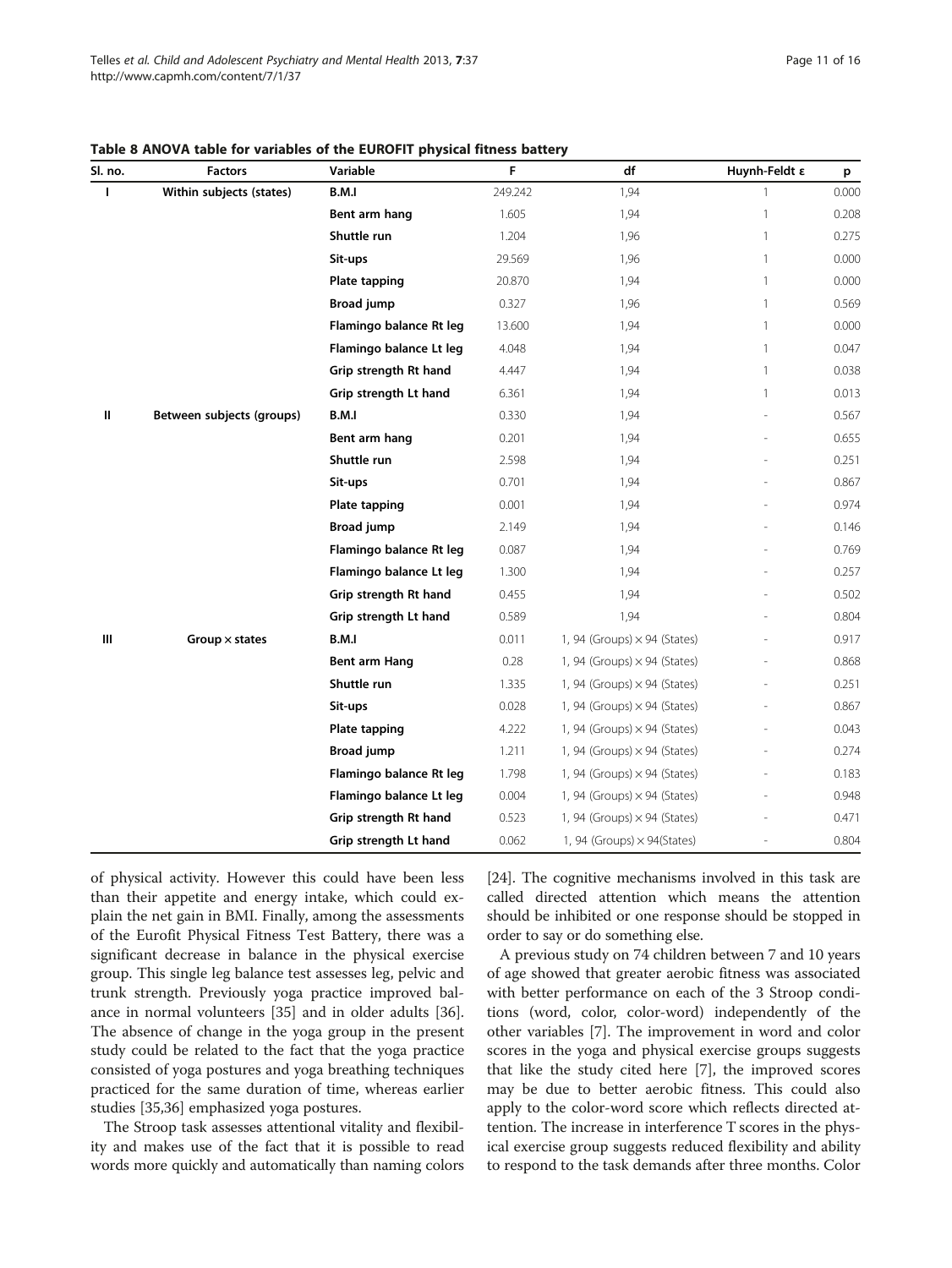| Sl. no.      | <b>Factors</b>            | Variable                | F       | df                                  | Huynh-Feldt ε | p     |
|--------------|---------------------------|-------------------------|---------|-------------------------------------|---------------|-------|
| $\mathbf{I}$ | Within subjects (states)  | B.M.I                   | 249.242 | 1,94                                | 1             | 0.000 |
|              |                           | Bent arm hang           | 1.605   | 1,94                                | $\mathbf{1}$  | 0.208 |
|              |                           | Shuttle run             | 1.204   | 1,96                                | $\mathbf{1}$  | 0.275 |
|              |                           | Sit-ups                 | 29.569  | 1,96                                | $\mathbf{1}$  | 0.000 |
|              |                           | Plate tapping           | 20.870  | 1,94                                | 1             | 0.000 |
|              |                           | Broad jump              | 0.327   | 1,96                                | $\mathbf{1}$  | 0.569 |
|              |                           | Flamingo balance Rt leg | 13.600  | 1,94                                | $\mathbf{1}$  | 0.000 |
|              |                           | Flamingo balance Lt leg | 4.048   | 1,94                                | $\mathbf{1}$  | 0.047 |
|              |                           | Grip strength Rt hand   | 4.447   | 1,94                                | $\mathbf{1}$  | 0.038 |
|              |                           | Grip strength Lt hand   | 6.361   | 1,94                                | $\mathbf{1}$  | 0.013 |
| Ш            | Between subjects (groups) | B.M.I                   | 0.330   | 1,94                                |               | 0.567 |
|              |                           | Bent arm hang           | 0.201   | 1,94                                |               | 0.655 |
|              |                           | Shuttle run             | 2.598   | 1,94                                |               | 0.251 |
|              |                           | Sit-ups                 | 0.701   | 1,94                                |               | 0.867 |
|              |                           | Plate tapping           | 0.001   | 1,94                                |               | 0.974 |
|              |                           | <b>Broad jump</b>       | 2.149   | 1,94                                |               | 0.146 |
|              |                           | Flamingo balance Rt leg | 0.087   | 1,94                                |               | 0.769 |
|              |                           | Flamingo balance Lt leg | 1.300   | 1,94                                |               | 0.257 |
|              |                           | Grip strength Rt hand   | 0.455   | 1,94                                |               | 0.502 |
|              |                           | Grip strength Lt hand   | 0.589   | 1,94                                |               | 0.804 |
| Ш            | Group $\times$ states     | B.M.I                   | 0.011   | 1, 94 (Groups) $\times$ 94 (States) |               | 0.917 |
|              |                           | Bent arm Hang           | 0.28    | 1, 94 (Groups) $\times$ 94 (States) |               | 0.868 |
|              |                           | Shuttle run             | 1.335   | 1, 94 (Groups) $\times$ 94 (States) |               | 0.251 |
|              |                           | Sit-ups                 | 0.028   | 1, 94 (Groups) $\times$ 94 (States) |               | 0.867 |
|              |                           | Plate tapping           | 4.222   | 1, 94 (Groups) $\times$ 94 (States) |               | 0.043 |
|              |                           | <b>Broad jump</b>       | 1.211   | 1, 94 (Groups) $\times$ 94 (States) |               | 0.274 |
|              |                           | Flamingo balance Rt leg | 1.798   | 1, 94 (Groups) $\times$ 94 (States) |               | 0.183 |
|              |                           | Flamingo balance Lt leg | 0.004   | 1, 94 (Groups) $\times$ 94 (States) |               | 0.948 |
|              |                           | Grip strength Rt hand   | 0.523   | 1, 94 (Groups) $\times$ 94 (States) |               | 0.471 |
|              |                           | Grip strength Lt hand   | 0.062   | 1, 94 (Groups) $\times$ 94(States)  |               | 0.804 |

<span id="page-10-0"></span>Table 8 ANOVA table for variables of the EUROFIT physical fitness battery

of physical activity. However this could have been less than their appetite and energy intake, which could explain the net gain in BMI. Finally, among the assessments of the Eurofit Physical Fitness Test Battery, there was a significant decrease in balance in the physical exercise group. This single leg balance test assesses leg, pelvic and trunk strength. Previously yoga practice improved balance in normal volunteers [[35](#page-14-0)] and in older adults [\[36](#page-14-0)]. The absence of change in the yoga group in the present study could be related to the fact that the yoga practice consisted of yoga postures and yoga breathing techniques practiced for the same duration of time, whereas earlier studies [[35](#page-14-0),[36](#page-14-0)] emphasized yoga postures.

The Stroop task assesses attentional vitality and flexibility and makes use of the fact that it is possible to read words more quickly and automatically than naming colors

[[24](#page-14-0)]. The cognitive mechanisms involved in this task are called directed attention which means the attention should be inhibited or one response should be stopped in order to say or do something else.

A previous study on 74 children between 7 and 10 years of age showed that greater aerobic fitness was associated with better performance on each of the 3 Stroop conditions (word, color, color-word) independently of the other variables [\[7\]](#page-14-0). The improvement in word and color scores in the yoga and physical exercise groups suggests that like the study cited here [[7\]](#page-14-0), the improved scores may be due to better aerobic fitness. This could also apply to the color-word score which reflects directed attention. The increase in interference T scores in the physical exercise group suggests reduced flexibility and ability to respond to the task demands after three months. Color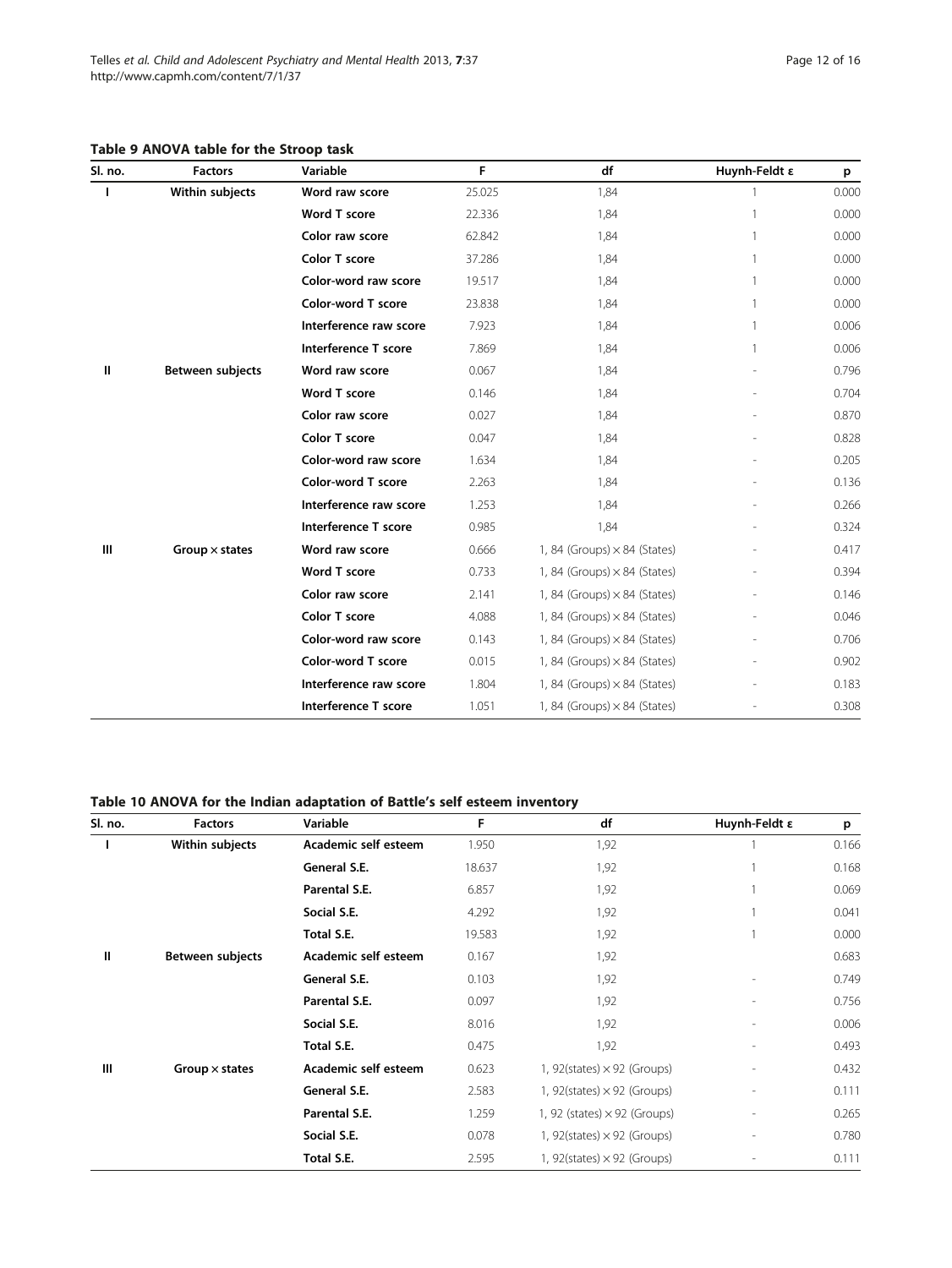#### <span id="page-11-0"></span>Table 9 ANOVA table for the Stroop task

| Sl. no. | <b>Factors</b>        | Variable                  | F      | df                                  | Huynh-Feldt ε | p     |
|---------|-----------------------|---------------------------|--------|-------------------------------------|---------------|-------|
| т       | Within subjects       | Word raw score            | 25.025 | 1,84                                |               | 0.000 |
|         |                       | <b>Word T score</b>       | 22.336 | 1,84                                |               | 0.000 |
|         |                       | Color raw score           | 62.842 | 1,84                                |               | 0.000 |
|         |                       | Color T score             | 37.286 | 1,84                                |               | 0.000 |
|         |                       | Color-word raw score      | 19.517 | 1,84                                |               | 0.000 |
|         |                       | <b>Color-word T score</b> | 23.838 | 1,84                                |               | 0.000 |
|         |                       | Interference raw score    | 7.923  | 1,84                                |               | 0.006 |
|         |                       | Interference T score      | 7.869  | 1,84                                |               | 0.006 |
| Ш       | Between subjects      | Word raw score            | 0.067  | 1,84                                |               | 0.796 |
|         |                       | <b>Word T score</b>       | 0.146  | 1,84                                |               | 0.704 |
|         |                       | Color raw score           | 0.027  | 1,84                                |               | 0.870 |
|         |                       | Color T score             | 0.047  | 1,84                                |               | 0.828 |
|         |                       | Color-word raw score      | 1.634  | 1,84                                |               | 0.205 |
|         |                       | <b>Color-word T score</b> | 2.263  | 1,84                                |               | 0.136 |
|         |                       | Interference raw score    | 1.253  | 1,84                                |               | 0.266 |
|         |                       | Interference T score      | 0.985  | 1,84                                |               | 0.324 |
| Ш       | Group $\times$ states | Word raw score            | 0.666  | 1, 84 (Groups) $\times$ 84 (States) |               | 0.417 |
|         |                       | <b>Word T score</b>       | 0.733  | 1, 84 (Groups) $\times$ 84 (States) |               | 0.394 |
|         |                       | Color raw score           | 2.141  | 1, 84 (Groups) $\times$ 84 (States) |               | 0.146 |
|         |                       | Color T score             | 4.088  | 1, 84 (Groups) $\times$ 84 (States) |               | 0.046 |
|         |                       | Color-word raw score      | 0.143  | 1, 84 (Groups) $\times$ 84 (States) |               | 0.706 |
|         |                       | <b>Color-word T score</b> | 0.015  | 1, 84 (Groups) $\times$ 84 (States) |               | 0.902 |
|         |                       | Interference raw score    | 1.804  | 1, 84 (Groups) $\times$ 84 (States) |               | 0.183 |
|         |                       | Interference T score      | 1.051  | 1, 84 (Groups) $\times$ 84 (States) |               | 0.308 |

# Table 10 ANOVA for the Indian adaptation of Battle's self esteem inventory

| Sl. no. | <b>Factors</b>        | Variable             | F      | df                                  | Huynh-Feldt ε            | p     |
|---------|-----------------------|----------------------|--------|-------------------------------------|--------------------------|-------|
|         | Within subjects       | Academic self esteem | 1.950  | 1,92                                |                          | 0.166 |
|         |                       | General S.E.         | 18.637 | 1,92                                |                          | 0.168 |
|         |                       | Parental S.E.        | 6.857  | 1,92                                |                          | 0.069 |
|         |                       | Social S.E.          | 4.292  | 1,92                                |                          | 0.041 |
|         |                       | Total S.E.           | 19.583 | 1,92                                |                          | 0.000 |
| Ш       | Between subjects      | Academic self esteem | 0.167  | 1,92                                |                          | 0.683 |
|         |                       | General S.E.         | 0.103  | 1,92                                | $\overline{a}$           | 0.749 |
|         |                       | Parental S.E.        | 0.097  | 1,92                                | $\overline{a}$           | 0.756 |
|         |                       | Social S.E.          | 8.016  | 1,92                                |                          | 0.006 |
|         |                       | Total S.E.           | 0.475  | 1,92                                | $\overline{\phantom{a}}$ | 0.493 |
| Ш       | Group $\times$ states | Academic self esteem | 0.623  | 1, 92(states) $\times$ 92 (Groups)  | $\overline{\phantom{0}}$ | 0.432 |
|         |                       | General S.E.         | 2.583  | 1, 92(states) $\times$ 92 (Groups)  | $\overline{a}$           | 0.111 |
|         |                       | Parental S.E.        | 1.259  | 1, 92 (states) $\times$ 92 (Groups) | $\overline{\phantom{a}}$ | 0.265 |
|         |                       | Social S.E.          | 0.078  | 1, 92(states) $\times$ 92 (Groups)  |                          | 0.780 |
|         |                       | Total S.E.           | 2.595  | 1, 92(states) $\times$ 92 (Groups)  |                          | 0.111 |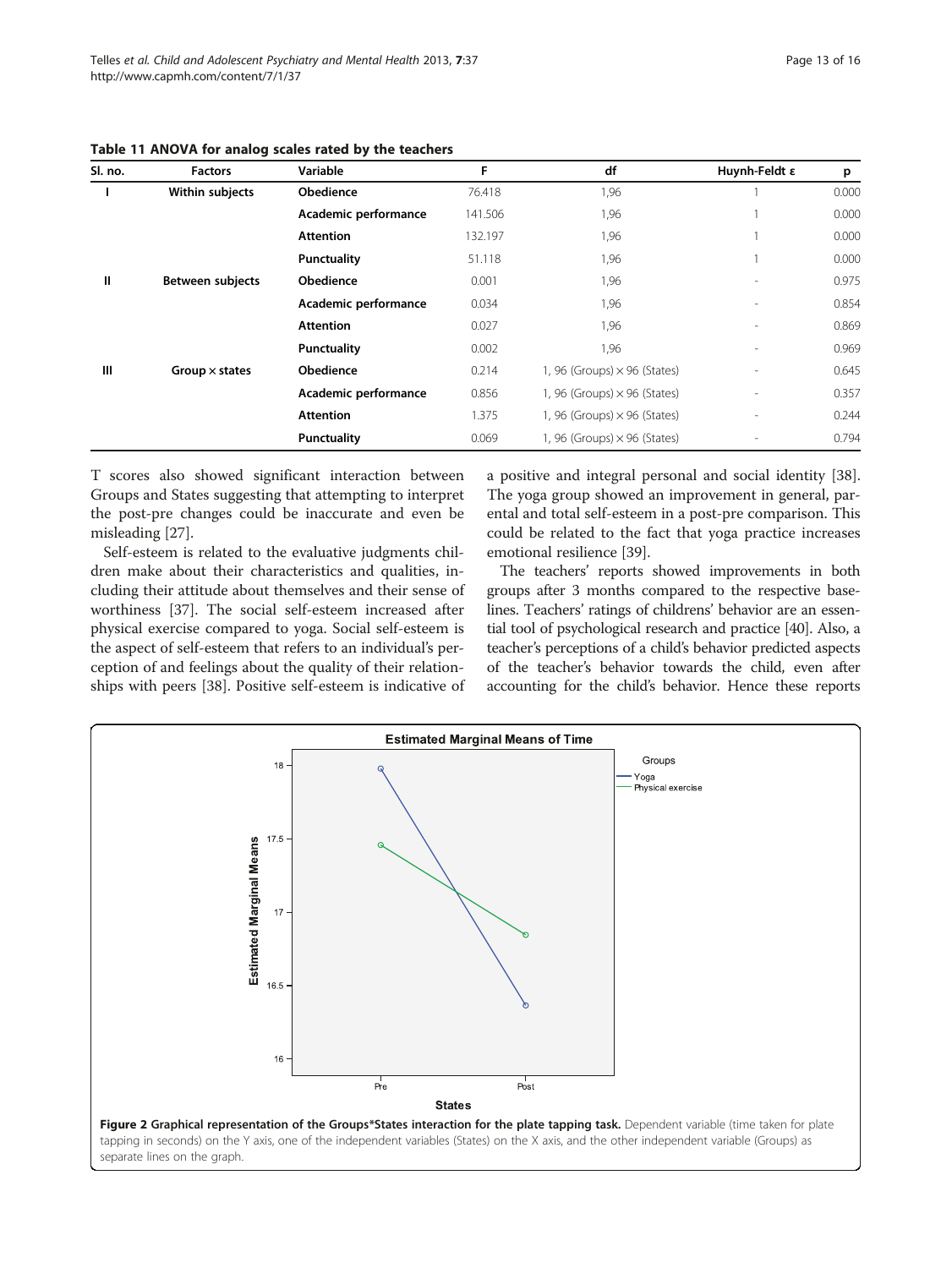| Sl. no. | <b>Factors</b>          | Variable             | F       | df                                  | Huynh-Feldt ε            | p     |
|---------|-------------------------|----------------------|---------|-------------------------------------|--------------------------|-------|
|         | Within subjects         | Obedience            | 76.418  | 1,96                                |                          | 0.000 |
|         |                         | Academic performance | 141.506 | 1,96                                |                          | 0.000 |
|         |                         | <b>Attention</b>     | 132.197 | 1,96                                |                          | 0.000 |
|         |                         | Punctuality          | 51.118  | 1,96                                |                          | 0.000 |
| Ш       | <b>Between subjects</b> | Obedience            | 0.001   | 1,96                                | $\overline{\phantom{a}}$ | 0.975 |
|         |                         | Academic performance | 0.034   | 1,96                                |                          | 0.854 |
|         |                         | <b>Attention</b>     | 0.027   | 1,96                                | $\overline{\phantom{a}}$ | 0.869 |
|         |                         | Punctuality          | 0.002   | 1,96                                | $\overline{\phantom{a}}$ | 0.969 |
| Ш       | Group $\times$ states   | <b>Obedience</b>     | 0.214   | 1, 96 (Groups) $\times$ 96 (States) | $\overline{\phantom{a}}$ | 0.645 |
|         |                         | Academic performance | 0.856   | 1, 96 (Groups) $\times$ 96 (States) | $\overline{\phantom{a}}$ | 0.357 |
|         |                         | <b>Attention</b>     | 1.375   | 1, 96 (Groups) $\times$ 96 (States) | $\overline{\phantom{a}}$ | 0.244 |
|         |                         | Punctuality          | 0.069   | 1, 96 (Groups) $\times$ 96 (States) | $\overline{\phantom{a}}$ | 0.794 |

<span id="page-12-0"></span>Table 11 ANOVA for analog scales rated by the teachers

T scores also showed significant interaction between Groups and States suggesting that attempting to interpret the post-pre changes could be inaccurate and even be misleading [\[27\]](#page-14-0).

Self-esteem is related to the evaluative judgments children make about their characteristics and qualities, including their attitude about themselves and their sense of worthiness [[37\]](#page-14-0). The social self-esteem increased after physical exercise compared to yoga. Social self-esteem is the aspect of self-esteem that refers to an individual's perception of and feelings about the quality of their relationships with peers [\[38](#page-14-0)]. Positive self-esteem is indicative of a positive and integral personal and social identity [[38](#page-14-0)]. The yoga group showed an improvement in general, parental and total self-esteem in a post-pre comparison. This could be related to the fact that yoga practice increases emotional resilience [\[39\]](#page-14-0).

The teachers' reports showed improvements in both groups after 3 months compared to the respective baselines. Teachers' ratings of childrens' behavior are an essential tool of psychological research and practice [\[40\]](#page-14-0). Also, a teacher's perceptions of a child's behavior predicted aspects of the teacher's behavior towards the child, even after accounting for the child's behavior. Hence these reports

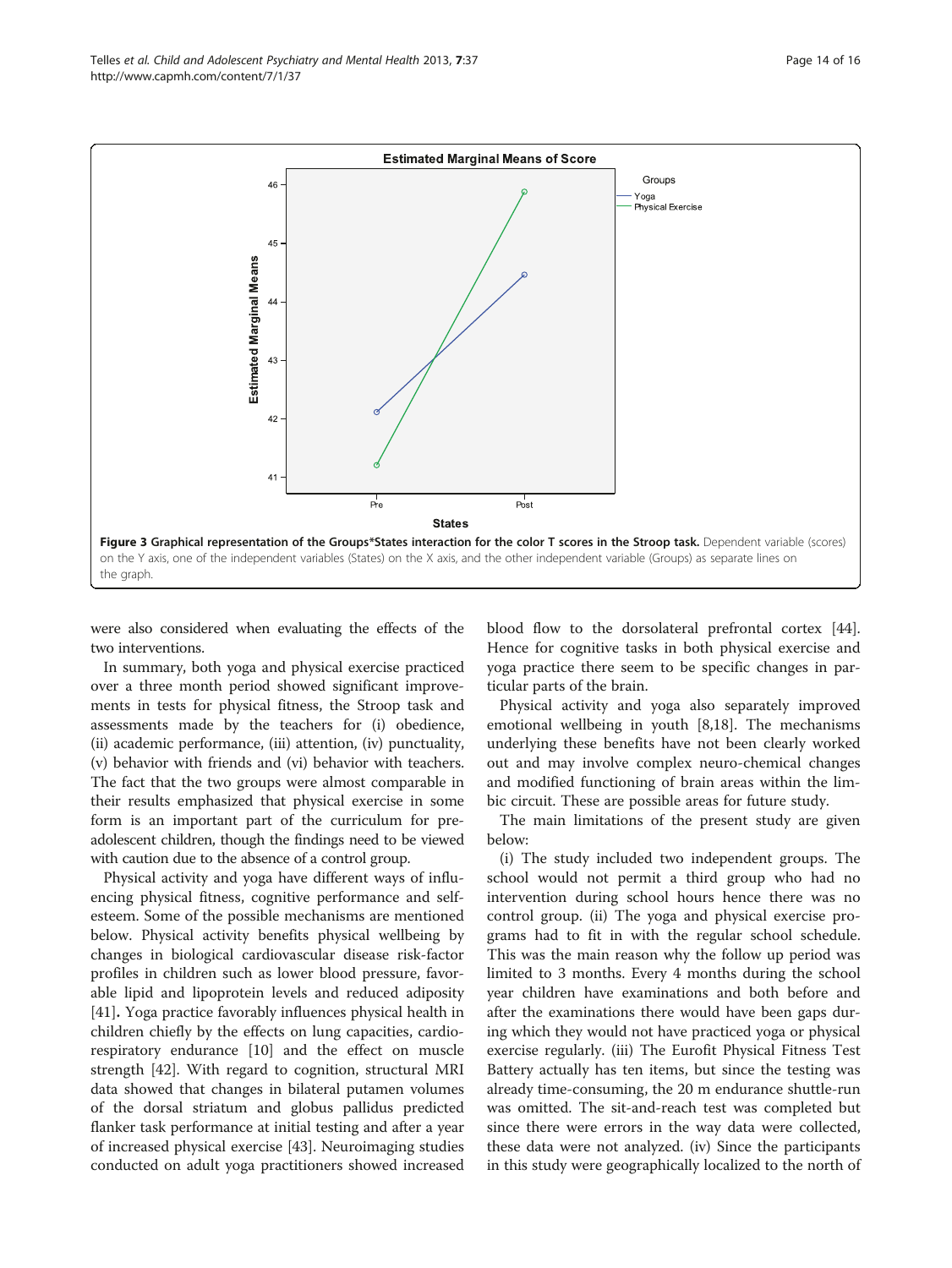<span id="page-13-0"></span>Telles et al. Child and Adolescent Psychiatry and Mental Health 2013, 7:37 Telles et al. Child and Adolescent Psychiatry and Mental Health 2013, 7:37 http://www.capmh.com/content/7/1/37



were also considered when evaluating the effects of the two interventions.

In summary, both yoga and physical exercise practiced over a three month period showed significant improvements in tests for physical fitness, the Stroop task and assessments made by the teachers for (i) obedience, (ii) academic performance, (iii) attention, (iv) punctuality, (v) behavior with friends and (vi) behavior with teachers. The fact that the two groups were almost comparable in their results emphasized that physical exercise in some form is an important part of the curriculum for preadolescent children, though the findings need to be viewed with caution due to the absence of a control group.

Physical activity and yoga have different ways of influencing physical fitness, cognitive performance and selfesteem. Some of the possible mechanisms are mentioned below. Physical activity benefits physical wellbeing by changes in biological cardiovascular disease risk-factor profiles in children such as lower blood pressure, favorable lipid and lipoprotein levels and reduced adiposity [[41\]](#page-15-0). Yoga practice favorably influences physical health in children chiefly by the effects on lung capacities, cardiorespiratory endurance [\[10](#page-14-0)] and the effect on muscle strength [[42](#page-15-0)]. With regard to cognition, structural MRI data showed that changes in bilateral putamen volumes of the dorsal striatum and globus pallidus predicted flanker task performance at initial testing and after a year of increased physical exercise [[43\]](#page-15-0). Neuroimaging studies conducted on adult yoga practitioners showed increased blood flow to the dorsolateral prefrontal cortex [\[44](#page-15-0)]. Hence for cognitive tasks in both physical exercise and yoga practice there seem to be specific changes in particular parts of the brain.

Physical activity and yoga also separately improved emotional wellbeing in youth [\[8,18](#page-14-0)]. The mechanisms underlying these benefits have not been clearly worked out and may involve complex neuro-chemical changes and modified functioning of brain areas within the limbic circuit. These are possible areas for future study.

The main limitations of the present study are given below:

(i) The study included two independent groups. The school would not permit a third group who had no intervention during school hours hence there was no control group. (ii) The yoga and physical exercise programs had to fit in with the regular school schedule. This was the main reason why the follow up period was limited to 3 months. Every 4 months during the school year children have examinations and both before and after the examinations there would have been gaps during which they would not have practiced yoga or physical exercise regularly. (iii) The Eurofit Physical Fitness Test Battery actually has ten items, but since the testing was already time-consuming, the 20 m endurance shuttle-run was omitted. The sit-and-reach test was completed but since there were errors in the way data were collected, these data were not analyzed. (iv) Since the participants in this study were geographically localized to the north of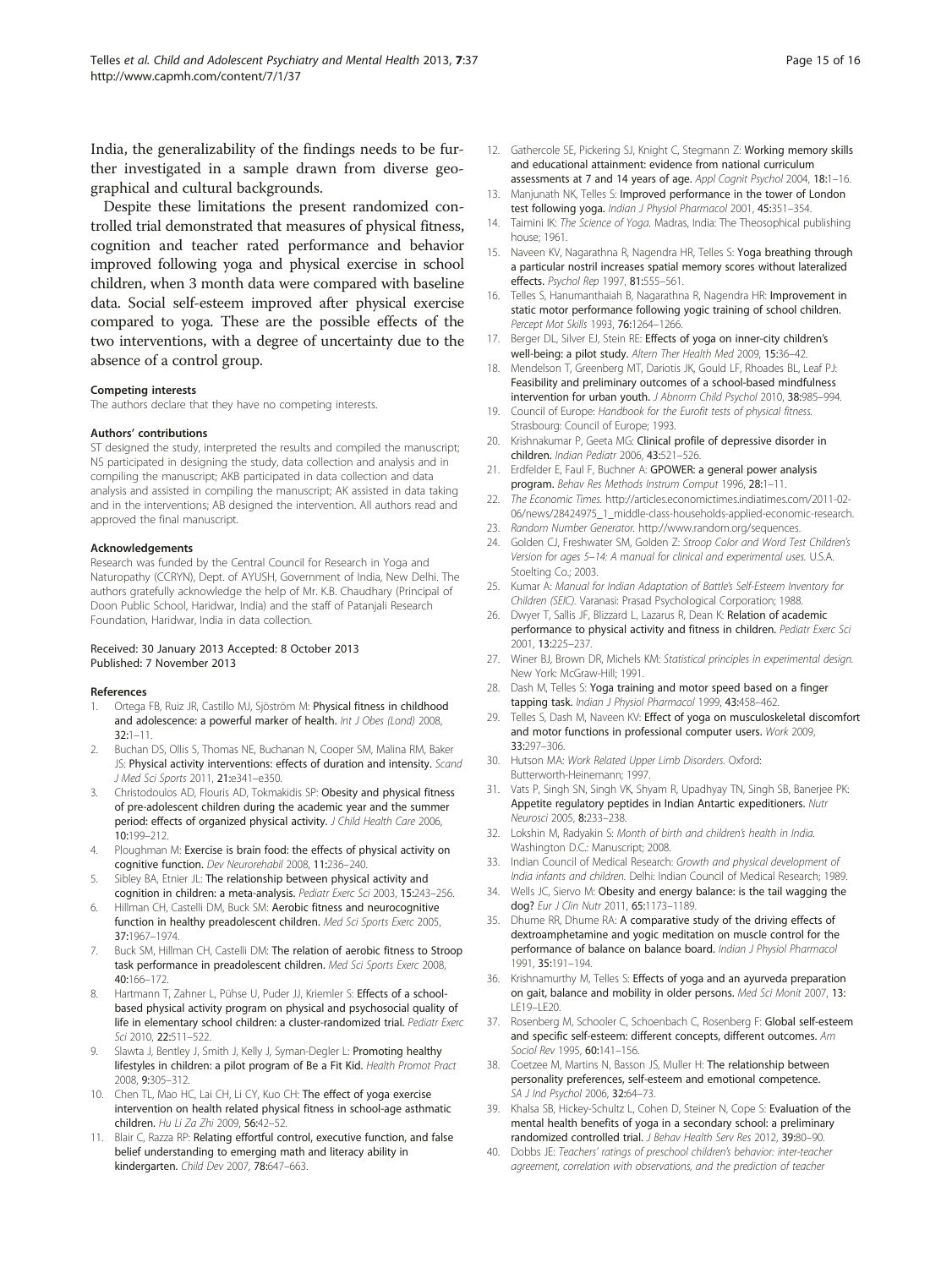<span id="page-14-0"></span>India, the generalizability of the findings needs to be further investigated in a sample drawn from diverse geographical and cultural backgrounds.

Despite these limitations the present randomized controlled trial demonstrated that measures of physical fitness, cognition and teacher rated performance and behavior improved following yoga and physical exercise in school children, when 3 month data were compared with baseline data. Social self-esteem improved after physical exercise compared to yoga. These are the possible effects of the two interventions, with a degree of uncertainty due to the absence of a control group.

#### Competing interests

The authors declare that they have no competing interests.

#### Authors' contributions

ST designed the study, interpreted the results and compiled the manuscript; NS participated in designing the study, data collection and analysis and in compiling the manuscript; AKB participated in data collection and data analysis and assisted in compiling the manuscript; AK assisted in data taking and in the interventions; AB designed the intervention. All authors read and approved the final manuscript.

#### Acknowledgements

Research was funded by the Central Council for Research in Yoga and Naturopathy (CCRYN), Dept. of AYUSH, Government of India, New Delhi. The authors gratefully acknowledge the help of Mr. K.B. Chaudhary (Principal of Doon Public School, Haridwar, India) and the staff of Patanjali Research Foundation, Haridwar, India in data collection.

#### Received: 30 January 2013 Accepted: 8 October 2013 Published: 7 November 2013

#### References

- Ortega FB, Ruiz JR, Castillo MJ, Sjöström M: Physical fitness in childhood and adolescence: a powerful marker of health. Int J Obes (Lond) 2008, 32:1–11.
- 2. Buchan DS, Ollis S, Thomas NE, Buchanan N, Cooper SM, Malina RM, Baker JS: Physical activity interventions: effects of duration and intensity. Scand J Med Sci Sports 2011, 21:e341–e350.
- Christodoulos AD, Flouris AD, Tokmakidis SP: Obesity and physical fitness of pre-adolescent children during the academic year and the summer period: effects of organized physical activity. J Child Health Care 2006, 10:199–212.
- 4. Ploughman M: Exercise is brain food: the effects of physical activity on cognitive function. Dev Neurorehabil 2008, 11:236–240.
- 5. Sibley BA, Etnier JL: The relationship between physical activity and cognition in children: a meta-analysis. Pediatr Exerc Sci 2003, 15:243–256.
- 6. Hillman CH, Castelli DM, Buck SM: Aerobic fitness and neurocognitive function in healthy preadolescent children. Med Sci Sports Exerc 2005, 37:1967–1974.
- 7. Buck SM, Hillman CH, Castelli DM: The relation of aerobic fitness to Stroop task performance in preadolescent children. Med Sci Sports Exerc 2008, 40:166–172.
- Hartmann T, Zahner L, Pühse U, Puder JJ, Kriemler S: Effects of a schoolbased physical activity program on physical and psychosocial quality of life in elementary school children: a cluster-randomized trial. Pediatr Exerc Sci 2010, 22:511–522.
- 9. Slawta J, Bentley J, Smith J, Kelly J, Syman-Degler L: Promoting healthy lifestyles in children: a pilot program of Be a Fit Kid. Health Promot Pract 2008, 9:305–312.
- 10. Chen TL, Mao HC, Lai CH, Li CY, Kuo CH: The effect of yoga exercise intervention on health related physical fitness in school-age asthmatic children. Hu Li Za Zhi 2009, 56:42–52.
- 11. Blair C, Razza RP: Relating effortful control, executive function, and false belief understanding to emerging math and literacy ability in kindergarten. Child Dev 2007, 78:647–663.
- 12. Gathercole SE, Pickering SJ, Knight C, Stegmann Z: Working memory skills and educational attainment: evidence from national curriculum assessments at 7 and 14 years of age. Appl Cognit Psychol 2004, 18:1–16.
- 13. Manjunath NK, Telles S: Improved performance in the tower of London test following yoga. Indian J Physiol Pharmacol 2001, 45:351-354.
- 14. Taimini IK: The Science of Yoga. Madras, India: The Theosophical publishing house; 1961.
- 15. Naveen KV, Nagarathna R, Nagendra HR, Telles S: Yoga breathing through a particular nostril increases spatial memory scores without lateralized effects. Psychol Rep 1997, 81:555–561.
- 16. Telles S, Hanumanthaiah B, Nagarathna R, Nagendra HR: Improvement in static motor performance following yogic training of school children. Percept Mot Skills 1993, 76:1264–1266.
- 17. Berger DL, Silver EJ, Stein RE: Effects of yoga on inner-city children's well-being: a pilot study. Altern Ther Health Med 2009, 15:36-42.
- 18. Mendelson T, Greenberg MT, Dariotis JK, Gould LF, Rhoades BL, Leaf PJ: Feasibility and preliminary outcomes of a school-based mindfulness intervention for urban youth. J Abnorm Child Psychol 2010, 38:985–994.
- 19. Council of Europe: Handbook for the Eurofit tests of physical fitness. Strasbourg: Council of Europe; 1993.
- 20. Krishnakumar P, Geeta MG: Clinical profile of depressive disorder in children. Indian Pediatr 2006, 43:521–526.
- 21. Erdfelder E, Faul F, Buchner A: GPOWER: a general power analysis program. Behav Res Methods Instrum Comput 1996, 28:1–11.
- 22. The Economic Times. [http://articles.economictimes.indiatimes.com/2011-02-](http://articles.economictimes.indiatimes.com/2011-02-06/news/28424975_1_middle-class-households-applied-economic-research) [06/news/28424975\\_1\\_middle-class-households-applied-economic-research](http://articles.economictimes.indiatimes.com/2011-02-06/news/28424975_1_middle-class-households-applied-economic-research).
- 23. Random Number Generator. [http://www.random.org/sequences.](http://www.random.org/sequences)
- 24. Golden CJ, Freshwater SM, Golden Z: Stroop Color and Word Test Children's Version for ages 5–14: A manual for clinical and experimental uses. U.S.A. Stoelting Co.; 2003.
- 25. Kumar A: Manual for Indian Adaptation of Battle's Self-Esteem Inventory for Children (SEIC). Varanasi: Prasad Psychological Corporation; 1988.
- 26. Dwyer T, Sallis JF, Blizzard L, Lazarus R, Dean K: Relation of academic performance to physical activity and fitness in children. Pediatr Exerc Sci 2001, 13:225–237.
- 27. Winer BJ, Brown DR, Michels KM: Statistical principles in experimental design. New York: McGraw-Hill; 1991.
- 28. Dash M, Telles S: Yoga training and motor speed based on a finger tapping task. Indian J Physiol Pharmacol 1999, 43:458–462.
- 29. Telles S, Dash M, Naveen KV: Effect of yoga on musculoskeletal discomfort and motor functions in professional computer users. Work 2009, 33:297–306.
- 30. Hutson MA: Work Related Upper Limb Disorders. Oxford: Butterworth-Heinemann; 1997.
- 31. Vats P, Singh SN, Singh VK, Shyam R, Upadhyay TN, Singh SB, Banerjee PK: Appetite regulatory peptides in Indian Antartic expeditioners. Nutr Neurosci 2005, 8:233–238.
- 32. Lokshin M, Radyakin S: Month of birth and children's health in India. Washington D.C.: Manuscript; 2008.
- 33. Indian Council of Medical Research: Growth and physical development of India infants and children. Delhi: Indian Council of Medical Research; 1989.
- 34. Wells JC, Siervo M: Obesity and energy balance: is the tail wagging the dog? Eur J Clin Nutr 2011, 65:1173-1189.
- 35. Dhume RR, Dhume RA: A comparative study of the driving effects of dextroamphetamine and yogic meditation on muscle control for the performance of balance on balance board. Indian J Physiol Pharmacol 1991, 35:191–194.
- 36. Krishnamurthy M, Telles S: Effects of yoga and an ayurveda preparation on gait, balance and mobility in older persons. Med Sci Monit 2007, 13: LE19–LE20.
- 37. Rosenberg M, Schooler C, Schoenbach C, Rosenberg F: Global self-esteem and specific self-esteem: different concepts, different outcomes. Am Sociol Rev 1995, 60:141–156.
- 38. Coetzee M, Martins N, Basson JS, Muller H: The relationship between personality preferences, self-esteem and emotional competence. SA J Ind Psychol 2006, 32:64-73.
- 39. Khalsa SB, Hickey-Schultz L, Cohen D, Steiner N, Cope S: Evaluation of the mental health benefits of yoga in a secondary school: a preliminary randomized controlled trial. J Behav Health Serv Res 2012, 39:80–90.
- 40. Dobbs JE: Teachers' ratings of preschool children's behavior: inter-teacher agreement, correlation with observations, and the prediction of teacher